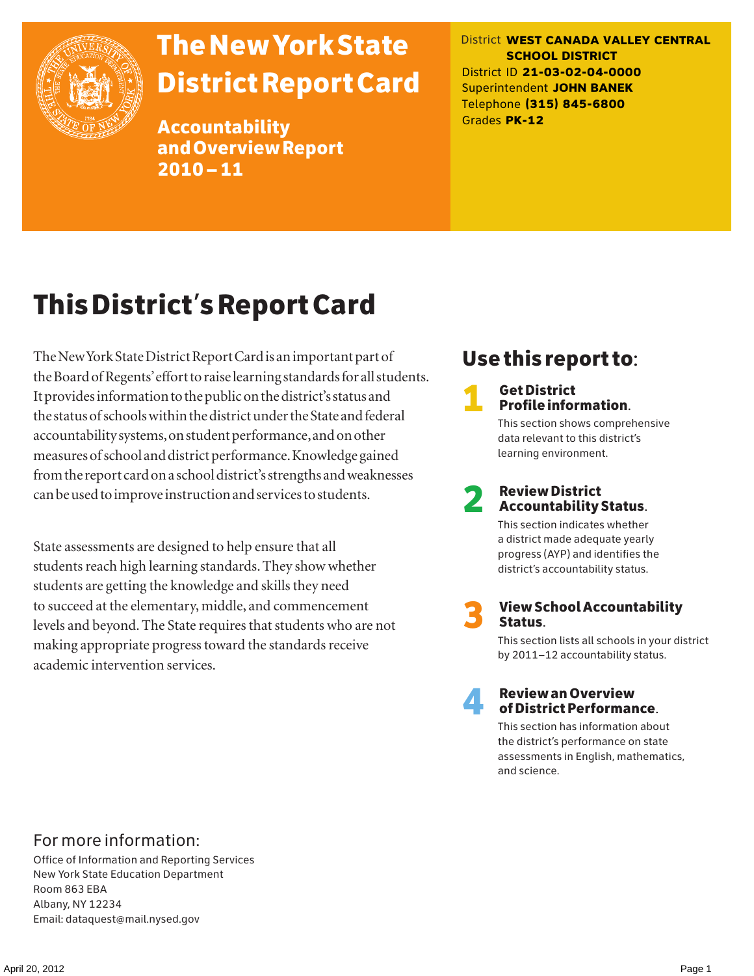

# The New York State District Report Card

Accountability and Overview Report 2010–11

District **WEST CANADA VALLEY CENTRAL SCHOOL DISTRICT** District ID **21-03-02-04-0000** Superintendent **JOHN BANEK** Telephone **(315) 845-6800** Grades **PK-12**

# This District's Report Card

The New York State District Report Card is an important part of the Board of Regents' effort to raise learning standards for all students. It provides information to the public on the district's status and the status of schools within the district under the State and federal accountability systems, on student performance, and on other measures of school and district performance. Knowledge gained from the report card on a school district's strengths and weaknesses can be used to improve instruction and services to students.

State assessments are designed to help ensure that all students reach high learning standards. They show whether students are getting the knowledge and skills they need to succeed at the elementary, middle, and commencement levels and beyond. The State requires that students who are not making appropriate progress toward the standards receive academic intervention services.

# Use this report to:

**1** Get District<br>Profile information.

This section shows comprehensive data relevant to this district's learning environment.

# 2 Review District Accountability Status.

This section indicates whether a district made adequate yearly progress (AYP) and identifies the district's accountability status.

3 View School Accountability Status.

This section lists all schools in your district by 2011–12 accountability status.



### 4 Review an Overview of District Performance.

This section has information about the district's performance on state assessments in English, mathematics, and science.

### For more information:

Office of Information and Reporting Services New York State Education Department Room 863 EBA Albany, NY 12234 Email: dataquest@mail.nysed.gov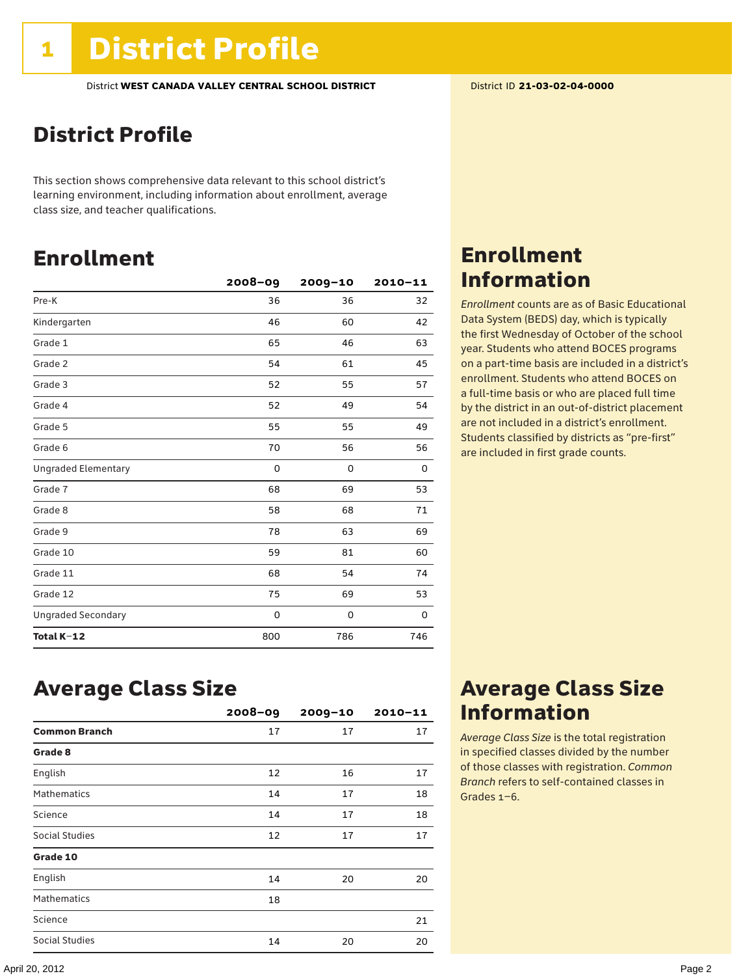### District Profile

This section shows comprehensive data relevant to this school district's learning environment, including information about enrollment, average class size, and teacher qualifications.

### Enrollment

|                            | $2008 - 09$ | $2009 - 10$ | $2010 - 11$ |
|----------------------------|-------------|-------------|-------------|
| Pre-K                      | 36          | 36          | 32          |
| Kindergarten               | 46          | 60          | 42          |
| Grade 1                    | 65          | 46          | 63          |
| Grade 2                    | 54          | 61          | 45          |
| Grade 3                    | 52          | 55          | 57          |
| Grade 4                    | 52          | 49          | 54          |
| Grade 5                    | 55          | 55          | 49          |
| Grade 6                    | 70          | 56          | 56          |
| <b>Ungraded Elementary</b> | 0           | 0           | 0           |
| Grade 7                    | 68          | 69          | 53          |
| Grade 8                    | 58          | 68          | 71          |
| Grade 9                    | 78          | 63          | 69          |
| Grade 10                   | 59          | 81          | 60          |
| Grade 11                   | 68          | 54          | 74          |
| Grade 12                   | 75          | 69          | 53          |
| <b>Ungraded Secondary</b>  | 0           | 0           | 0           |
| Total K-12                 | 800         | 786         | 746         |

### Enrollment Information

*Enrollment* counts are as of Basic Educational Data System (BEDS) day, which is typically the first Wednesday of October of the school year. Students who attend BOCES programs on a part-time basis are included in a district's enrollment. Students who attend BOCES on a full-time basis or who are placed full time by the district in an out-of-district placement are not included in a district's enrollment. Students classified by districts as "pre-first" are included in first grade counts.

### Average Class Size

|                      | $2008 - 09$ | $2009 - 10$ | $2010 - 11$ |
|----------------------|-------------|-------------|-------------|
| <b>Common Branch</b> | 17          | 17          | 17          |
| Grade 8              |             |             |             |
| English              | 12          | 16          | 17          |
| <b>Mathematics</b>   | 14          | 17          | 18          |
| Science              | 14          | 17          | 18          |
| Social Studies       | 12          | 17          | 17          |
| Grade 10             |             |             |             |
| English              | 14          | 20          | 20          |
| <b>Mathematics</b>   | 18          |             |             |
| Science              |             |             | 21          |
| Social Studies       | 14          | 20          | 20          |

### Average Class Size Information

*Average Class Size* is the total registration in specified classes divided by the number of those classes with registration. *Common Branch* refers to self-contained classes in Grades 1–6.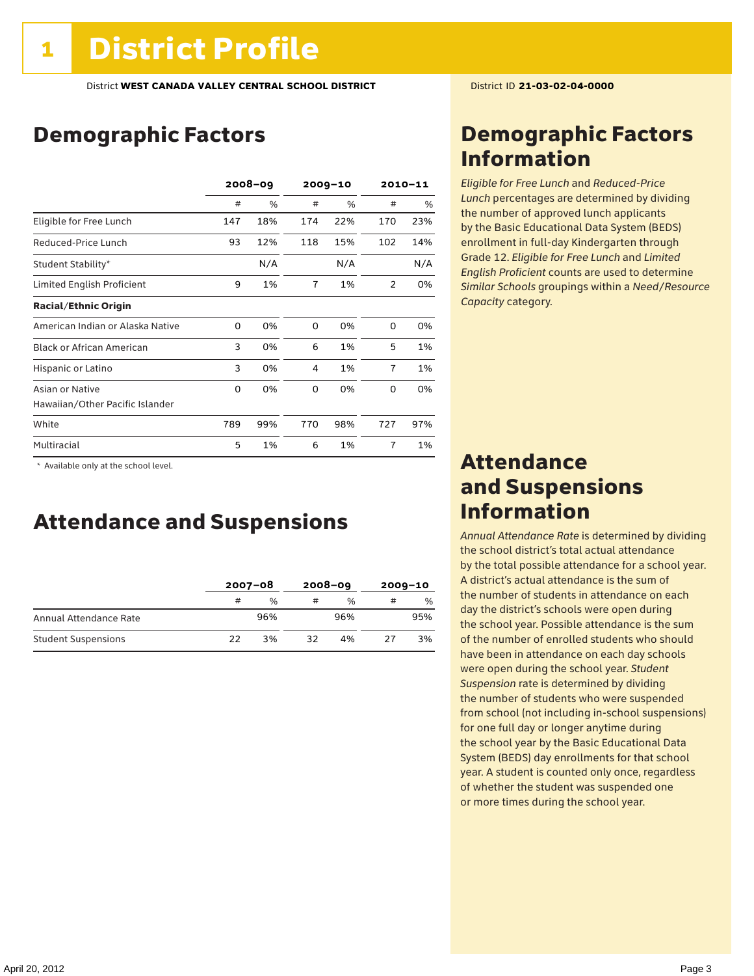# Demographic Factors

|                                  | $2008 - 09$ |     | $2009 - 10$    |     | $2010 - 11$    |     |
|----------------------------------|-------------|-----|----------------|-----|----------------|-----|
|                                  | #           | %   | #              | %   | #              | %   |
| Eligible for Free Lunch          | 147         | 18% | 174            | 22% | 170            | 23% |
| Reduced-Price Lunch              | 93          | 12% | 118            | 15% | 102            | 14% |
| Student Stability*               |             | N/A |                | N/A |                | N/A |
| Limited English Proficient       | 9           | 1%  | $\overline{7}$ | 1%  | 2              | 0%  |
| <b>Racial/Ethnic Origin</b>      |             |     |                |     |                |     |
| American Indian or Alaska Native | 0           | 0%  | $\Omega$       | 0%  | $\Omega$       | 0%  |
| <b>Black or African American</b> | 3           | 0%  | 6              | 1%  | 5              | 1%  |
| Hispanic or Latino               | 3           | 0%  | 4              | 1%  | $\overline{7}$ | 1%  |
| Asian or Native                  | 0           | 0%  | 0              | 0%  | 0              | 0%  |
| Hawaiian/Other Pacific Islander  |             |     |                |     |                |     |
| White                            | 789         | 99% | 770            | 98% | 727            | 97% |
| Multiracial                      | 5           | 1%  | 6              | 1%  | $\overline{7}$ | 1%  |

 \* Available only at the school level.

### Attendance and Suspensions

|                            |    | $2007 - 08$   |    | $2008 - 09$   |    | $2009 - 10$   |  |
|----------------------------|----|---------------|----|---------------|----|---------------|--|
|                            | #  | $\frac{0}{0}$ |    | $\frac{0}{0}$ | #  | $\frac{0}{0}$ |  |
| Annual Attendance Rate     |    | 96%           |    | 96%           |    | 95%           |  |
| <b>Student Suspensions</b> | フフ | 3%            | 32 | 4%            | 27 | 3%            |  |

### Demographic Factors Information

*Eligible for Free Lunch* and *Reduced*-*Price Lunch* percentages are determined by dividing the number of approved lunch applicants by the Basic Educational Data System (BEDS) enrollment in full-day Kindergarten through Grade 12. *Eligible for Free Lunch* and *Limited English Proficient* counts are used to determine *Similar Schools* groupings within a *Need*/*Resource Capacity* category.

### Attendance and Suspensions Information

*Annual Attendance Rate* is determined by dividing the school district's total actual attendance by the total possible attendance for a school year. A district's actual attendance is the sum of the number of students in attendance on each day the district's schools were open during the school year. Possible attendance is the sum of the number of enrolled students who should have been in attendance on each day schools were open during the school year. *Student Suspension* rate is determined by dividing the number of students who were suspended from school (not including in-school suspensions) for one full day or longer anytime during the school year by the Basic Educational Data System (BEDS) day enrollments for that school year. A student is counted only once, regardless of whether the student was suspended one or more times during the school year.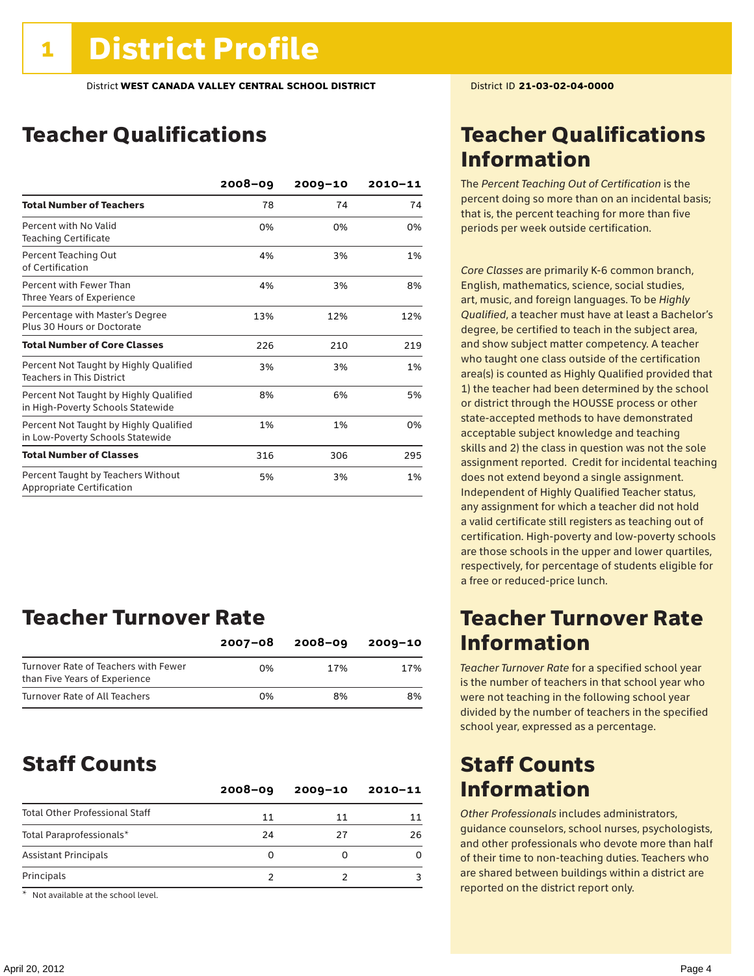### Teacher Qualifications

|                                                                             | $2008 - 09$ | $2009 - 10$ | $2010 - 11$ |
|-----------------------------------------------------------------------------|-------------|-------------|-------------|
| <b>Total Number of Teachers</b>                                             | 78          | 74          | 74          |
| Percent with No Valid<br><b>Teaching Certificate</b>                        | 0%          | 0%          | 0%          |
| Percent Teaching Out<br>of Certification                                    | 4%          | 3%          | 1%          |
| Percent with Fewer Than<br>Three Years of Experience                        | 4%          | 3%          | 8%          |
| Percentage with Master's Degree<br>Plus 30 Hours or Doctorate               | 13%         | 12%         | 12%         |
| <b>Total Number of Core Classes</b>                                         | 226         | 210         | 219         |
| Percent Not Taught by Highly Qualified<br><b>Teachers in This District</b>  | 3%          | 3%          | 1%          |
| Percent Not Taught by Highly Qualified<br>in High-Poverty Schools Statewide | 8%          | 6%          | 5%          |
| Percent Not Taught by Highly Qualified<br>in Low-Poverty Schools Statewide  | 1%          | 1%          | 0%          |
| <b>Total Number of Classes</b>                                              | 316         | 306         | 295         |
| Percent Taught by Teachers Without<br>Appropriate Certification             | 5%          | 3%          | 1%          |

### Teacher Turnover Rate

|                                                                       | 2007-08 | $2008 - 09$ | $2009 - 10$ |
|-----------------------------------------------------------------------|---------|-------------|-------------|
| Turnover Rate of Teachers with Fewer<br>than Five Years of Experience | በ%      | 17%         | 17%         |
| Turnover Rate of All Teachers                                         | በ%      | 8%          | 8%          |

### Staff Counts

|                                       | $2008 - 09$ | $2009 - 10$ | $2010 - 11$ |
|---------------------------------------|-------------|-------------|-------------|
| <b>Total Other Professional Staff</b> | 11          | 11          |             |
| Total Paraprofessionals*              | 24          | 27          | 26          |
| <b>Assistant Principals</b>           | 0           |             |             |
| Principals                            |             |             |             |

\* Not available at the school level.

### Teacher Qualifications Information

The *Percent Teaching Out of Certification* is the percent doing so more than on an incidental basis; that is, the percent teaching for more than five periods per week outside certification.

*Core Classes* are primarily K-6 common branch, English, mathematics, science, social studies, art, music, and foreign languages. To be *Highly Qualified*, a teacher must have at least a Bachelor's degree, be certified to teach in the subject area, and show subject matter competency. A teacher who taught one class outside of the certification area(s) is counted as Highly Qualified provided that 1) the teacher had been determined by the school or district through the HOUSSE process or other state-accepted methods to have demonstrated acceptable subject knowledge and teaching skills and 2) the class in question was not the sole assignment reported. Credit for incidental teaching does not extend beyond a single assignment. Independent of Highly Qualified Teacher status, any assignment for which a teacher did not hold a valid certificate still registers as teaching out of certification. High-poverty and low-poverty schools are those schools in the upper and lower quartiles, respectively, for percentage of students eligible for a free or reduced-price lunch.

### Teacher Turnover Rate Information

*Teacher Turnover Rate* for a specified school year is the number of teachers in that school year who were not teaching in the following school year divided by the number of teachers in the specified school year, expressed as a percentage.

### Staff Counts Information

*Other Professionals* includes administrators, guidance counselors, school nurses, psychologists, and other professionals who devote more than half of their time to non-teaching duties. Teachers who are shared between buildings within a district are reported on the district report only.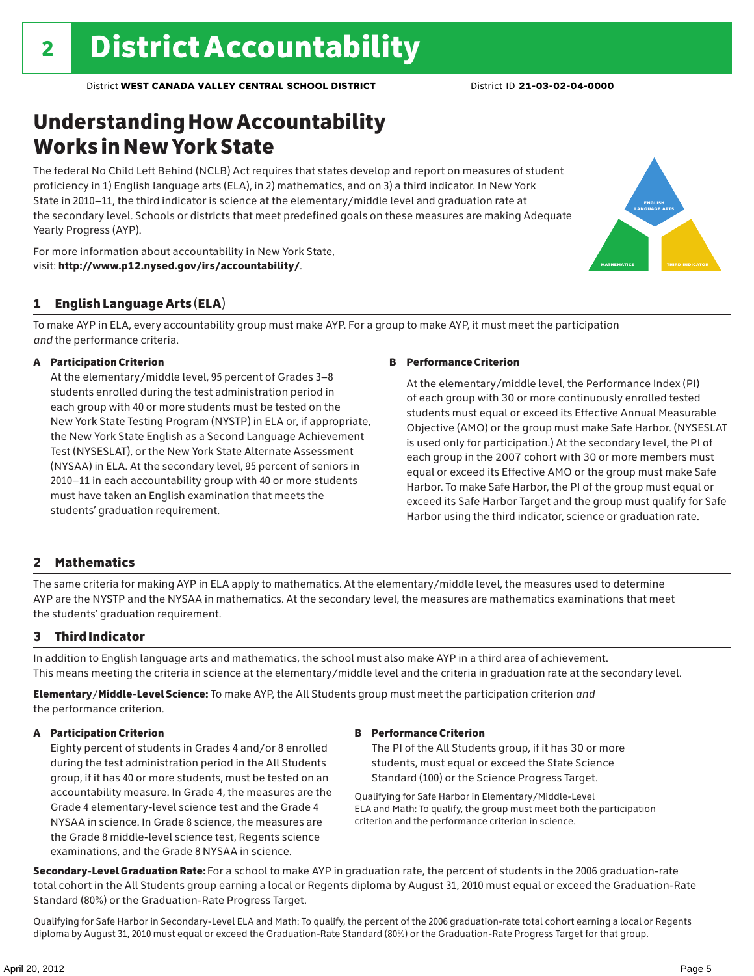# Understanding How Accountability Works in New York State

The federal No Child Left Behind (NCLB) Act requires that states develop and report on measures of student proficiency in 1) English language arts (ELA), in 2) mathematics, and on 3) a third indicator. In New York State in 2010–11, the third indicator is science at the elementary/middle level and graduation rate at the secondary level. Schools or districts that meet predefined goals on these measures are making Adequate Yearly Progress (AYP).



### 1 English Language Arts (ELA)

To make AYP in ELA, every accountability group must make AYP. For a group to make AYP, it must meet the participation *and* the performance criteria.

### A Participation Criterion

At the elementary/middle level, 95 percent of Grades 3–8 students enrolled during the test administration period in each group with 40 or more students must be tested on the New York State Testing Program (NYSTP) in ELA or, if appropriate, the New York State English as a Second Language Achievement Test (NYSESLAT), or the New York State Alternate Assessment (NYSAA) in ELA. At the secondary level, 95 percent of seniors in 2010–11 in each accountability group with 40 or more students must have taken an English examination that meets the students' graduation requirement.

### B Performance Criterion

At the elementary/middle level, the Performance Index (PI) of each group with 30 or more continuously enrolled tested students must equal or exceed its Effective Annual Measurable Objective (AMO) or the group must make Safe Harbor. (NYSESLAT is used only for participation.) At the secondary level, the PI of each group in the 2007 cohort with 30 or more members must equal or exceed its Effective AMO or the group must make Safe Harbor. To make Safe Harbor, the PI of the group must equal or exceed its Safe Harbor Target and the group must qualify for Safe Harbor using the third indicator, science or graduation rate.

english language arts

MATHEMATICS | THIRD INDICATOR

### 2 Mathematics

The same criteria for making AYP in ELA apply to mathematics. At the elementary/middle level, the measures used to determine AYP are the NYSTP and the NYSAA in mathematics. At the secondary level, the measures are mathematics examinations that meet the students' graduation requirement.

### 3 Third Indicator

In addition to English language arts and mathematics, the school must also make AYP in a third area of achievement. This means meeting the criteria in science at the elementary/middle level and the criteria in graduation rate at the secondary level.

Elementary/Middle-Level Science: To make AYP, the All Students group must meet the participation criterion *and* the performance criterion.

### A Participation Criterion

Eighty percent of students in Grades 4 and/or 8 enrolled during the test administration period in the All Students group, if it has 40 or more students, must be tested on an accountability measure. In Grade 4, the measures are the Grade 4 elementary-level science test and the Grade 4 NYSAA in science. In Grade 8 science, the measures are the Grade 8 middle-level science test, Regents science examinations, and the Grade 8 NYSAA in science.

### B Performance Criterion

The PI of the All Students group, if it has 30 or more students, must equal or exceed the State Science Standard (100) or the Science Progress Target.

Qualifying for Safe Harbor in Elementary/Middle-Level ELA and Math: To qualify, the group must meet both the participation criterion and the performance criterion in science.

Secondary-Level Graduation Rate: For a school to make AYP in graduation rate, the percent of students in the 2006 graduation-rate total cohort in the All Students group earning a local or Regents diploma by August 31, 2010 must equal or exceed the Graduation-Rate Standard (80%) or the Graduation-Rate Progress Target.

Qualifying for Safe Harbor in Secondary-Level ELA and Math: To qualify, the percent of the 2006 graduation-rate total cohort earning a local or Regents diploma by August 31, 2010 must equal or exceed the Graduation-Rate Standard (80%) or the Graduation-Rate Progress Target for that group.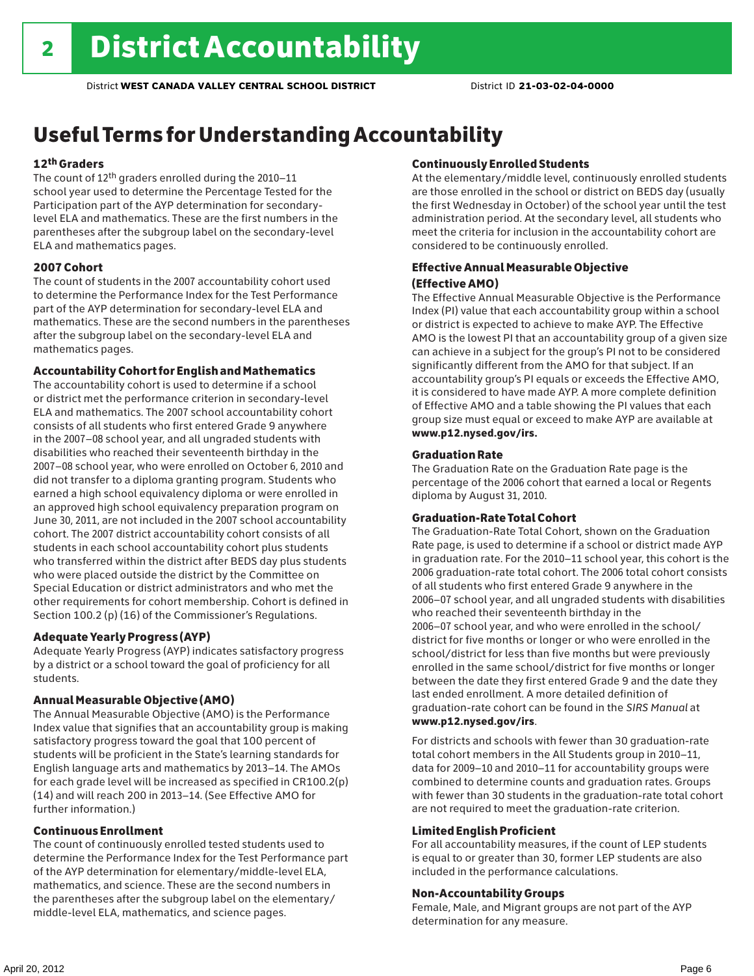# Useful Terms for Understanding Accountability

### 12th Graders

The count of 12th graders enrolled during the 2010–11 school year used to determine the Percentage Tested for the Participation part of the AYP determination for secondarylevel ELA and mathematics. These are the first numbers in the parentheses after the subgroup label on the secondary-level ELA and mathematics pages.

### 2007 Cohort

The count of students in the 2007 accountability cohort used to determine the Performance Index for the Test Performance part of the AYP determination for secondary-level ELA and mathematics. These are the second numbers in the parentheses after the subgroup label on the secondary-level ELA and mathematics pages.

### Accountability Cohort for English and Mathematics

The accountability cohort is used to determine if a school or district met the performance criterion in secondary-level ELA and mathematics. The 2007 school accountability cohort consists of all students who first entered Grade 9 anywhere in the 2007–08 school year, and all ungraded students with disabilities who reached their seventeenth birthday in the 2007–08 school year, who were enrolled on October 6, 2010 and did not transfer to a diploma granting program. Students who earned a high school equivalency diploma or were enrolled in an approved high school equivalency preparation program on June 30, 2011, are not included in the 2007 school accountability cohort. The 2007 district accountability cohort consists of all students in each school accountability cohort plus students who transferred within the district after BEDS day plus students who were placed outside the district by the Committee on Special Education or district administrators and who met the other requirements for cohort membership. Cohort is defined in Section 100.2 (p) (16) of the Commissioner's Regulations.

### Adequate Yearly Progress (AYP)

Adequate Yearly Progress (AYP) indicates satisfactory progress by a district or a school toward the goal of proficiency for all students.

### Annual Measurable Objective (AMO)

The Annual Measurable Objective (AMO) is the Performance Index value that signifies that an accountability group is making satisfactory progress toward the goal that 100 percent of students will be proficient in the State's learning standards for English language arts and mathematics by 2013–14. The AMOs for each grade level will be increased as specified in CR100.2(p) (14) and will reach 200 in 2013–14. (See Effective AMO for further information.)

### Continuous Enrollment

The count of continuously enrolled tested students used to determine the Performance Index for the Test Performance part of the AYP determination for elementary/middle-level ELA, mathematics, and science. These are the second numbers in the parentheses after the subgroup label on the elementary/ middle-level ELA, mathematics, and science pages.

### Continuously Enrolled Students

At the elementary/middle level, continuously enrolled students are those enrolled in the school or district on BEDS day (usually the first Wednesday in October) of the school year until the test administration period. At the secondary level, all students who meet the criteria for inclusion in the accountability cohort are considered to be continuously enrolled.

### Effective Annual Measurable Objective (Effective AMO)

The Effective Annual Measurable Objective is the Performance Index (PI) value that each accountability group within a school or district is expected to achieve to make AYP. The Effective AMO is the lowest PI that an accountability group of a given size can achieve in a subject for the group's PI not to be considered significantly different from the AMO for that subject. If an accountability group's PI equals or exceeds the Effective AMO, it is considered to have made AYP. A more complete definition of Effective AMO and a table showing the PI values that each group size must equal or exceed to make AYP are available at www.p12.nysed.gov/irs.

### Graduation Rate

The Graduation Rate on the Graduation Rate page is the percentage of the 2006 cohort that earned a local or Regents diploma by August 31, 2010.

### Graduation-Rate Total Cohort

The Graduation-Rate Total Cohort, shown on the Graduation Rate page, is used to determine if a school or district made AYP in graduation rate. For the 2010–11 school year, this cohort is the 2006 graduation-rate total cohort. The 2006 total cohort consists of all students who first entered Grade 9 anywhere in the 2006–07 school year, and all ungraded students with disabilities who reached their seventeenth birthday in the 2006–07 school year, and who were enrolled in the school/ district for five months or longer or who were enrolled in the school/district for less than five months but were previously enrolled in the same school/district for five months or longer between the date they first entered Grade 9 and the date they last ended enrollment. A more detailed definition of graduation-rate cohort can be found in the *SIRS Manual* at www.p12.nysed.gov/irs.

For districts and schools with fewer than 30 graduation-rate total cohort members in the All Students group in 2010–11, data for 2009–10 and 2010–11 for accountability groups were combined to determine counts and graduation rates. Groups with fewer than 30 students in the graduation-rate total cohort are not required to meet the graduation-rate criterion.

### Limited English Proficient

For all accountability measures, if the count of LEP students is equal to or greater than 30, former LEP students are also included in the performance calculations.

### Non-Accountability Groups

Female, Male, and Migrant groups are not part of the AYP determination for any measure.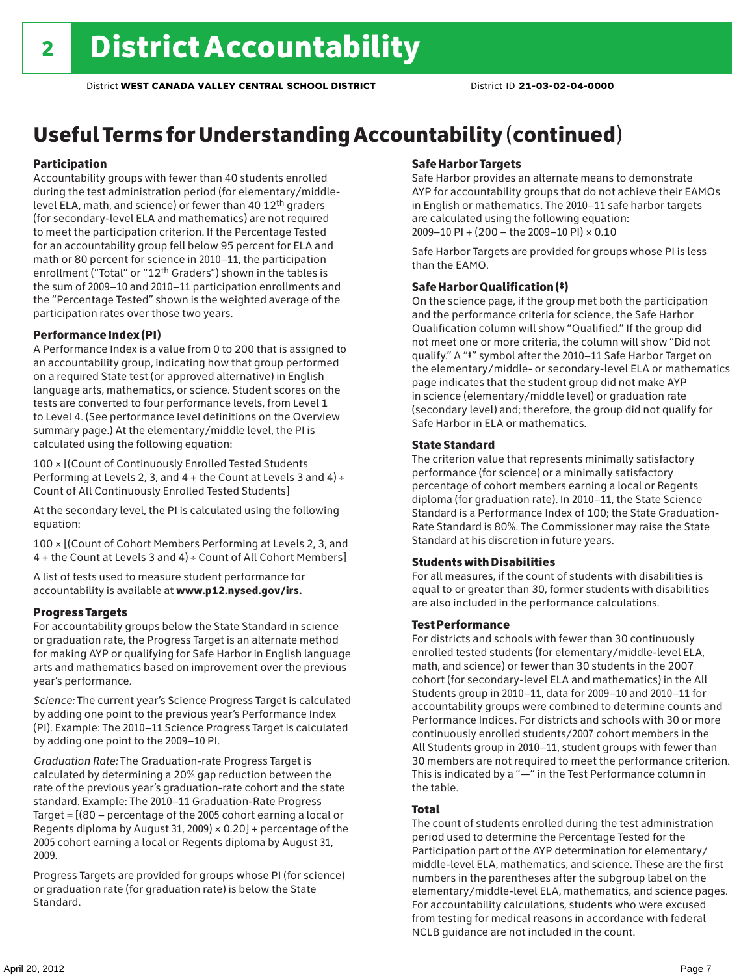# Useful Terms for Understanding Accountability (continued)

### Participation

Accountability groups with fewer than 40 students enrolled during the test administration period (for elementary/middlelevel ELA, math, and science) or fewer than 40 12th graders (for secondary-level ELA and mathematics) are not required to meet the participation criterion. If the Percentage Tested for an accountability group fell below 95 percent for ELA and math or 80 percent for science in 2010–11, the participation enrollment ("Total" or "12th Graders") shown in the tables is the sum of 2009–10 and 2010–11 participation enrollments and the "Percentage Tested" shown is the weighted average of the participation rates over those two years.

### Performance Index (PI)

A Performance Index is a value from 0 to 200 that is assigned to an accountability group, indicating how that group performed on a required State test (or approved alternative) in English language arts, mathematics, or science. Student scores on the tests are converted to four performance levels, from Level 1 to Level 4. (See performance level definitions on the Overview summary page.) At the elementary/middle level, the PI is calculated using the following equation:

100 × [(Count of Continuously Enrolled Tested Students Performing at Levels 2, 3, and 4 + the Count at Levels 3 and 4) Count of All Continuously Enrolled Tested Students]

At the secondary level, the PI is calculated using the following equation:

100 × [(Count of Cohort Members Performing at Levels 2, 3, and 4 + the Count at Levels 3 and 4) Count of All Cohort Members]

A list of tests used to measure student performance for accountability is available at www.p12.nysed.gov/irs.

### Progress Targets

For accountability groups below the State Standard in science or graduation rate, the Progress Target is an alternate method for making AYP or qualifying for Safe Harbor in English language arts and mathematics based on improvement over the previous year's performance.

*Science:* The current year's Science Progress Target is calculated by adding one point to the previous year's Performance Index (PI). Example: The 2010–11 Science Progress Target is calculated by adding one point to the 2009–10 PI.

*Graduation Rate:* The Graduation-rate Progress Target is calculated by determining a 20% gap reduction between the rate of the previous year's graduation-rate cohort and the state standard. Example: The 2010–11 Graduation-Rate Progress Target = [(80 – percentage of the 2005 cohort earning a local or Regents diploma by August 31, 2009)  $\times$  0.20] + percentage of the 2005 cohort earning a local or Regents diploma by August 31, 2009.

Progress Targets are provided for groups whose PI (for science) or graduation rate (for graduation rate) is below the State Standard.

#### Safe Harbor Targets

Safe Harbor provides an alternate means to demonstrate AYP for accountability groups that do not achieve their EAMOs in English or mathematics. The 2010–11 safe harbor targets are calculated using the following equation: 2009–10 PI + (200 – the 2009–10 PI) × 0.10

Safe Harbor Targets are provided for groups whose PI is less than the EAMO.

### Safe Harbor Qualification (‡)

On the science page, if the group met both the participation and the performance criteria for science, the Safe Harbor Qualification column will show "Qualified." If the group did not meet one or more criteria, the column will show "Did not qualify." A "‡" symbol after the 2010–11 Safe Harbor Target on the elementary/middle- or secondary-level ELA or mathematics page indicates that the student group did not make AYP in science (elementary/middle level) or graduation rate (secondary level) and; therefore, the group did not qualify for Safe Harbor in ELA or mathematics.

#### State Standard

The criterion value that represents minimally satisfactory performance (for science) or a minimally satisfactory percentage of cohort members earning a local or Regents diploma (for graduation rate). In 2010–11, the State Science Standard is a Performance Index of 100; the State Graduation-Rate Standard is 80%. The Commissioner may raise the State Standard at his discretion in future years.

### Students with Disabilities

For all measures, if the count of students with disabilities is equal to or greater than 30, former students with disabilities are also included in the performance calculations.

#### Test Performance

For districts and schools with fewer than 30 continuously enrolled tested students (for elementary/middle-level ELA, math, and science) or fewer than 30 students in the 2007 cohort (for secondary-level ELA and mathematics) in the All Students group in 2010–11, data for 2009–10 and 2010–11 for accountability groups were combined to determine counts and Performance Indices. For districts and schools with 30 or more continuously enrolled students/2007 cohort members in the All Students group in 2010–11, student groups with fewer than 30 members are not required to meet the performance criterion. This is indicated by a "—" in the Test Performance column in the table.

### Total

The count of students enrolled during the test administration period used to determine the Percentage Tested for the Participation part of the AYP determination for elementary/ middle-level ELA, mathematics, and science. These are the first numbers in the parentheses after the subgroup label on the elementary/middle-level ELA, mathematics, and science pages. For accountability calculations, students who were excused from testing for medical reasons in accordance with federal NCLB guidance are not included in the count.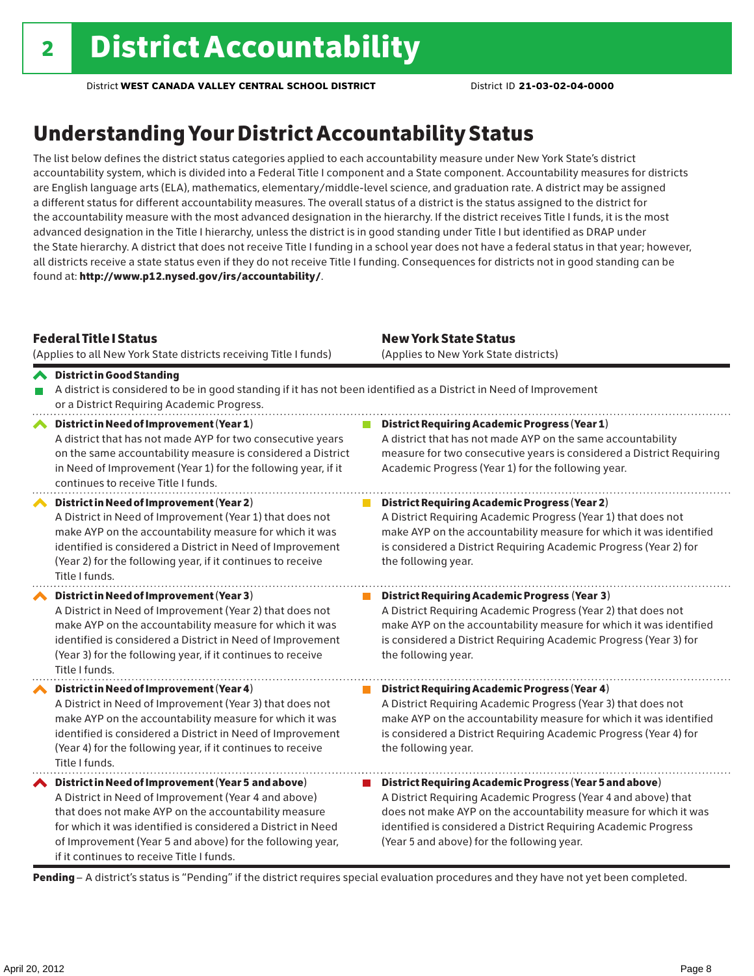# Understanding Your District Accountability Status

The list below defines the district status categories applied to each accountability measure under New York State's district accountability system, which is divided into a Federal Title I component and a State component. Accountability measures for districts are English language arts (ELA), mathematics, elementary/middle-level science, and graduation rate. A district may be assigned a different status for different accountability measures. The overall status of a district is the status assigned to the district for the accountability measure with the most advanced designation in the hierarchy. If the district receives Title I funds, it is the most advanced designation in the Title I hierarchy, unless the district is in good standing under Title I but identified as DRAP under the State hierarchy. A district that does not receive Title I funding in a school year does not have a federal status in that year; however, all districts receive a state status even if they do not receive Title I funding. Consequences for districts not in good standing can be found at: http://www.p12.nysed.gov/irs/accountability/.

| <b>Federal Title   Status</b><br>(Applies to all New York State districts receiving Title I funds)                                                                                                                                                                                                                                             | <b>New York State Status</b><br>(Applies to New York State districts)                                                                                                                                                                                                                                          |
|------------------------------------------------------------------------------------------------------------------------------------------------------------------------------------------------------------------------------------------------------------------------------------------------------------------------------------------------|----------------------------------------------------------------------------------------------------------------------------------------------------------------------------------------------------------------------------------------------------------------------------------------------------------------|
| <b>◆</b> District in Good Standing<br>A district is considered to be in good standing if it has not been identified as a District in Need of Improvement<br>or a District Requiring Academic Progress.                                                                                                                                         |                                                                                                                                                                                                                                                                                                                |
| District in Need of Improvement (Year 1)<br>$\boldsymbol{\mathcal{N}}$<br>A district that has not made AYP for two consecutive years<br>on the same accountability measure is considered a District<br>in Need of Improvement (Year 1) for the following year, if it<br>continues to receive Title I funds.                                    | District Requiring Academic Progress (Year 1)<br>A district that has not made AYP on the same accountability<br>measure for two consecutive years is considered a District Requiring<br>Academic Progress (Year 1) for the following year.                                                                     |
| District in Need of Improvement (Year 2)<br>A District in Need of Improvement (Year 1) that does not<br>make AYP on the accountability measure for which it was<br>identified is considered a District in Need of Improvement<br>(Year 2) for the following year, if it continues to receive<br>Title I funds.                                 | <b>District Requiring Academic Progress (Year 2)</b><br>A District Requiring Academic Progress (Year 1) that does not<br>make AYP on the accountability measure for which it was identified<br>is considered a District Requiring Academic Progress (Year 2) for<br>the following year.                        |
| District in Need of Improvement (Year 3)<br>A District in Need of Improvement (Year 2) that does not<br>make AYP on the accountability measure for which it was<br>identified is considered a District in Need of Improvement<br>(Year 3) for the following year, if it continues to receive<br>Title I funds.                                 | <b>District Requiring Academic Progress (Year 3)</b><br>A District Requiring Academic Progress (Year 2) that does not<br>make AYP on the accountability measure for which it was identified<br>is considered a District Requiring Academic Progress (Year 3) for<br>the following year.                        |
| District in Need of Improvement (Year 4)<br>A District in Need of Improvement (Year 3) that does not<br>make AYP on the accountability measure for which it was<br>identified is considered a District in Need of Improvement<br>(Year 4) for the following year, if it continues to receive<br>Title I funds.                                 | <b>District Requiring Academic Progress (Year 4)</b><br>A District Requiring Academic Progress (Year 3) that does not<br>make AYP on the accountability measure for which it was identified<br>is considered a District Requiring Academic Progress (Year 4) for<br>the following year.                        |
| ◆ District in Need of Improvement (Year 5 and above)<br>A District in Need of Improvement (Year 4 and above)<br>that does not make AYP on the accountability measure<br>for which it was identified is considered a District in Need<br>of Improvement (Year 5 and above) for the following year,<br>if it continues to receive Title I funds. | District Requiring Academic Progress (Year 5 and above)<br>A District Requiring Academic Progress (Year 4 and above) that<br>does not make AYP on the accountability measure for which it was<br>identified is considered a District Requiring Academic Progress<br>(Year 5 and above) for the following year. |

Pending - A district's status is "Pending" if the district requires special evaluation procedures and they have not yet been completed.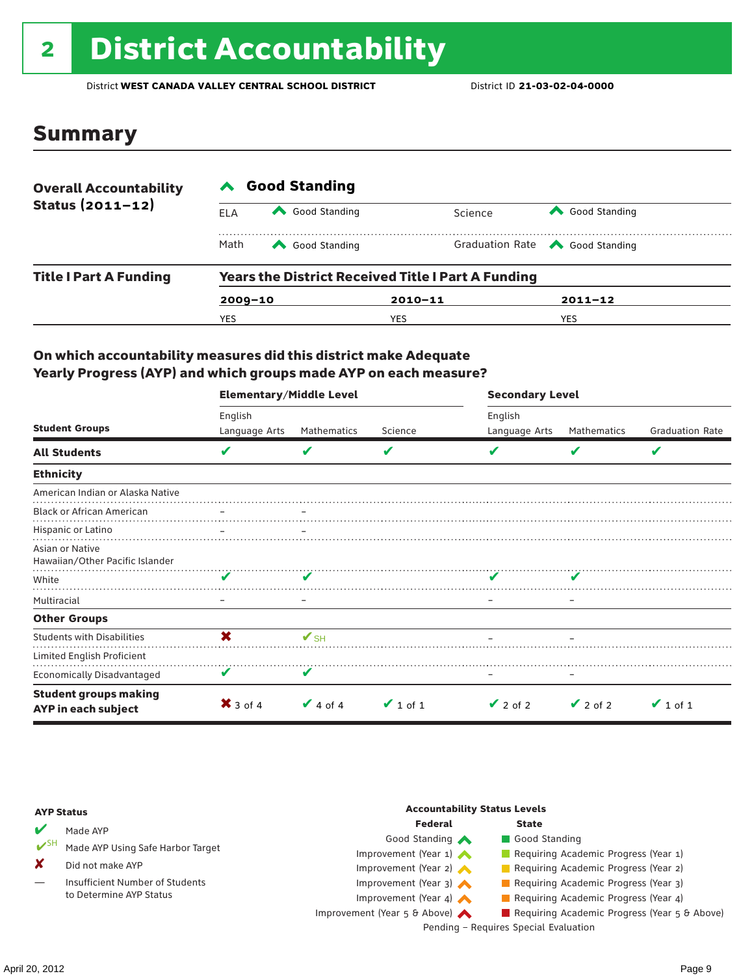# 2 District Accountability

District **WEST CANADA VALLEY CENTRAL SCHOOL DISTRICT** District ID **21-03-02-04-0000**

### Summary

| <b>Overall Accountability</b> | <b>Good Standing</b>                                      |               |             |                                       |  |  |
|-------------------------------|-----------------------------------------------------------|---------------|-------------|---------------------------------------|--|--|
| Status $(2011 - 12)$          | ELA                                                       | Good Standing |             | Good Standing<br>Science              |  |  |
|                               | Math                                                      | Good Standing |             | Graduation Rate <a> Good Standing</a> |  |  |
| <b>Title I Part A Funding</b> | <b>Years the District Received Title I Part A Funding</b> |               |             |                                       |  |  |
|                               | $2009 - 10$                                               |               | $2010 - 11$ | $2011 - 12$                           |  |  |
|                               | YES                                                       |               | YES         | <b>YES</b>                            |  |  |

### On which accountability measures did this district make Adequate Yearly Progress (AYP) and which groups made AYP on each measure?

|                                                     | <b>Elementary/Middle Level</b> |                          |               |               | <b>Secondary Level</b> |                        |  |  |
|-----------------------------------------------------|--------------------------------|--------------------------|---------------|---------------|------------------------|------------------------|--|--|
|                                                     | English                        |                          |               | English       |                        |                        |  |  |
| <b>Student Groups</b>                               | Language Arts                  | Mathematics              | Science       | Language Arts | Mathematics            | <b>Graduation Rate</b> |  |  |
| <b>All Students</b>                                 | V                              | v                        | V             |               | V                      | V                      |  |  |
| <b>Ethnicity</b>                                    |                                |                          |               |               |                        |                        |  |  |
| American Indian or Alaska Native                    |                                |                          |               |               |                        |                        |  |  |
| <b>Black or African American</b>                    |                                |                          |               |               |                        |                        |  |  |
| Hispanic or Latino                                  |                                |                          |               |               |                        |                        |  |  |
| Asian or Native<br>Hawaiian/Other Pacific Islander  |                                |                          |               |               |                        |                        |  |  |
| White                                               | ✔                              |                          |               |               |                        |                        |  |  |
| Multiracial                                         |                                | -                        |               |               |                        |                        |  |  |
| <b>Other Groups</b>                                 |                                |                          |               |               |                        |                        |  |  |
| <b>Students with Disabilities</b>                   | X                              | $\mathbf{V}_{\text{SH}}$ |               |               |                        |                        |  |  |
| Limited English Proficient                          |                                |                          |               |               |                        |                        |  |  |
| <b>Economically Disadvantaged</b>                   | V                              | V                        |               |               |                        |                        |  |  |
| <b>Student groups making</b><br>AYP in each subject | $\mathsf{X}$ 3 of 4            | $\vee$ 4 of 4            | $\vee$ 1 of 1 | $\vee$ 2 of 2 | $\vee$ 2 of 2          | $\vee$ 1 of 1          |  |  |

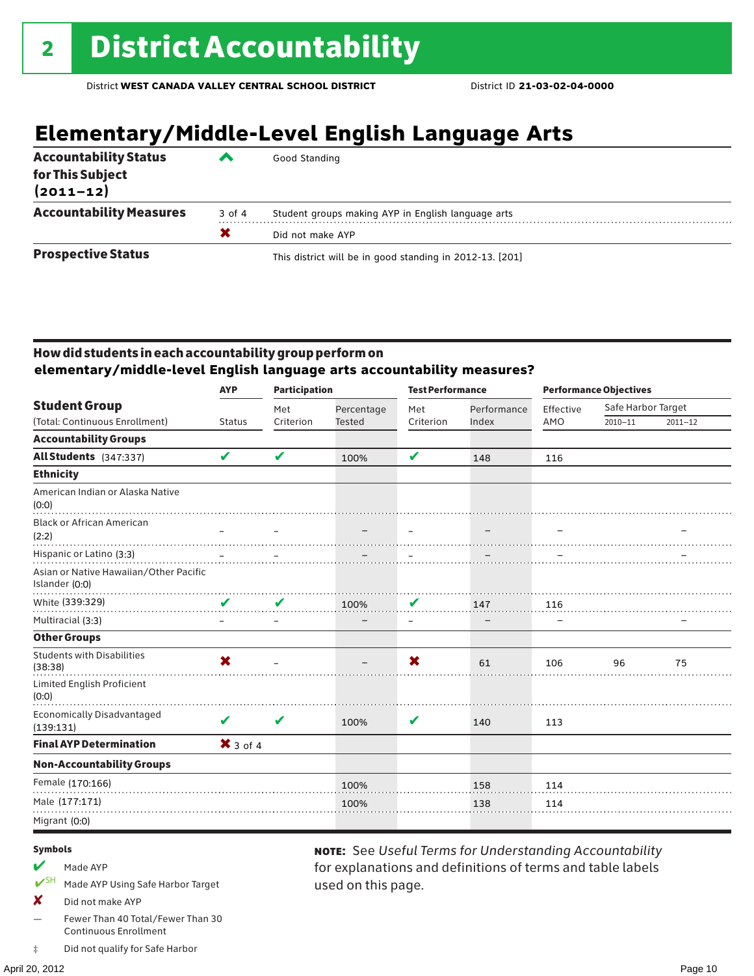# **Elementary/Middle-Level English Language Arts**

| <b>Accountability Status</b><br>for This Subject<br>$(2011 - 12)$ | ‴      | Good Standing                                            |
|-------------------------------------------------------------------|--------|----------------------------------------------------------|
| <b>Accountability Measures</b>                                    | 3 of 4 | Student groups making AYP in English language arts       |
|                                                                   | X      | Did not make AYP                                         |
| <b>Prospective Status</b>                                         |        | This district will be in good standing in 2012-13. [201] |

### How did students in each accountability group perform on **elementary/middle-level English language arts accountability measures?**

|                                                                                      | <b>AYP</b>                | <b>Participation</b> |               | <b>Test Performance</b> |             | <b>Performance Objectives</b> |                    |             |
|--------------------------------------------------------------------------------------|---------------------------|----------------------|---------------|-------------------------|-------------|-------------------------------|--------------------|-------------|
| <b>Student Group</b>                                                                 |                           | Met                  | Percentage    | Met                     | Performance | Effective                     | Safe Harbor Target |             |
| (Total: Continuous Enrollment)                                                       | <b>Status</b>             | Criterion            | <b>Tested</b> | Criterion               | Index       | AMO                           | $2010 - 11$        | $2011 - 12$ |
| <b>Accountability Groups</b>                                                         |                           |                      |               |                         |             |                               |                    |             |
| All Students (347:337)                                                               | V                         | V                    | 100%          | V                       | 148         | 116                           |                    |             |
| <b>Ethnicity</b>                                                                     |                           |                      |               |                         |             |                               |                    |             |
| American Indian or Alaska Native<br>(0:0)                                            |                           |                      |               |                         |             |                               |                    |             |
| <b>Black or African American</b><br>(2:2)                                            |                           |                      |               | $\equiv$                |             |                               |                    |             |
| Hispanic or Latino (3:3)<br>Asian or Native Hawaiian/Other Pacific<br>Islander (0:0) |                           |                      |               |                         |             |                               |                    |             |
| White (339:329)                                                                      | V                         | V                    | 100%          | V                       | 147         | 116                           |                    |             |
| Multiracial (3:3)                                                                    |                           |                      |               | $\qquad \qquad -$       |             |                               |                    |             |
| <b>Other Groups</b>                                                                  |                           |                      |               |                         |             |                               |                    |             |
| <b>Students with Disabilities</b><br>(38:38)                                         | $\boldsymbol{\mathsf{x}}$ |                      |               | X                       | 61          | 106                           | 96                 | 75          |
| Limited English Proficient<br>(0:0)                                                  |                           |                      |               |                         |             |                               |                    |             |
| <b>Economically Disadvantaged</b><br>(139:131)                                       | V                         | $\mathbf v$          | 100%          | V                       | 140         | 113                           |                    |             |
| <b>Final AYP Determination</b>                                                       | $X$ 3 of 4                |                      |               |                         |             |                               |                    |             |
| <b>Non-Accountability Groups</b>                                                     |                           |                      |               |                         |             |                               |                    |             |
| Female (170:166)                                                                     |                           |                      | 100%          |                         | 158         | 114                           |                    |             |
| Male (177:171)                                                                       |                           |                      | 100%          |                         | 138         | 114                           |                    |             |
| Migrant (0:0)                                                                        |                           |                      |               |                         |             |                               |                    |             |
|                                                                                      |                           |                      |               |                         |             |                               |                    |             |

used on this page.

note: See *Useful Terms for Understanding Accountability*  for explanations and definitions of terms and table labels

#### Symbols

- $M$  Made AYP
- ✔SH Made AYP Using Safe Harbor Target
- X Did not make AYP
- Fewer Than 40 Total/Fewer Than 30 Continuous Enrollment
- ‡ Did not qualify for Safe Harbor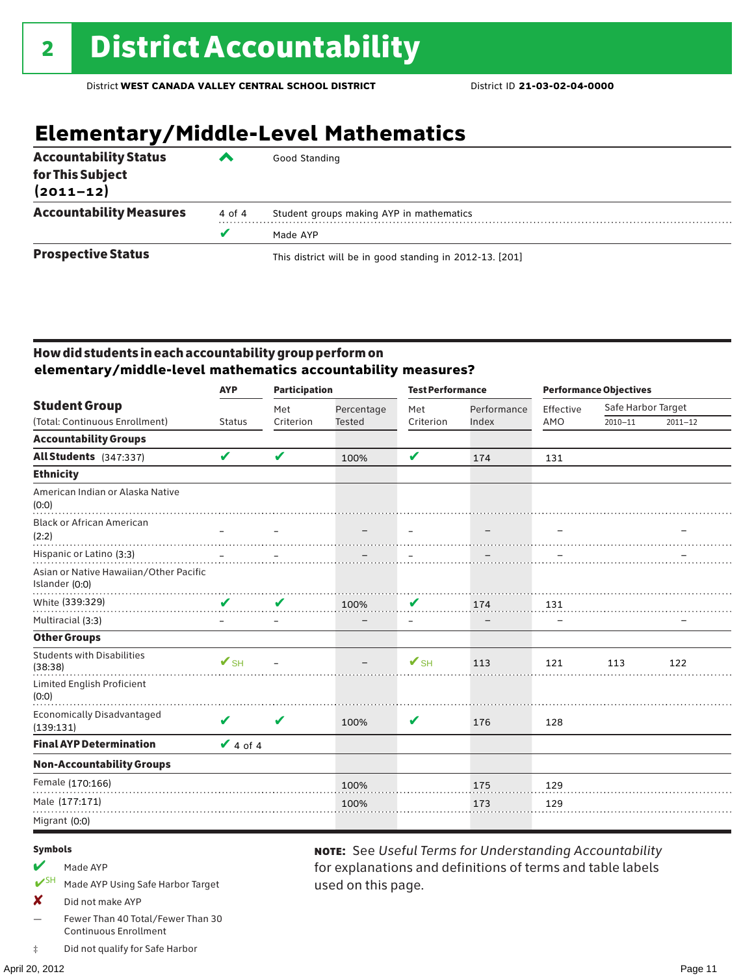# **Elementary/Middle-Level Mathematics**

| <b>Accountability Status</b><br>for This Subject<br>$(2011 - 12)$ | ▞      | Good Standing                                            |
|-------------------------------------------------------------------|--------|----------------------------------------------------------|
| <b>Accountability Measures</b>                                    | 4 of 4 | Student groups making AYP in mathematics                 |
|                                                                   | v      | Made AYP                                                 |
| <b>Prospective Status</b>                                         |        | This district will be in good standing in 2012-13. [201] |

### How did students in each accountability group perform on **elementary/middle-level mathematics accountability measures?**

|                                                          | <b>AYP</b>               |                            | <b>Participation</b> |                          | <b>Test Performance</b> |           | <b>Performance Objectives</b> |             |  |
|----------------------------------------------------------|--------------------------|----------------------------|----------------------|--------------------------|-------------------------|-----------|-------------------------------|-------------|--|
| <b>Student Group</b>                                     |                          | Met                        | Percentage           | Met                      | Performance             | Effective | Safe Harbor Target            |             |  |
| (Total: Continuous Enrollment)                           | <b>Status</b>            | Criterion                  | <b>Tested</b>        | Criterion                | Index                   | AMO       | $2010 - 11$                   | $2011 - 12$ |  |
| <b>Accountability Groups</b>                             |                          |                            |                      |                          |                         |           |                               |             |  |
| <b>All Students</b> (347:337)                            | V                        | $\boldsymbol{\mathcal{U}}$ | 100%                 | V                        | 174                     | 131       |                               |             |  |
| <b>Ethnicity</b>                                         |                          |                            |                      |                          |                         |           |                               |             |  |
| American Indian or Alaska Native<br>(0:0)                |                          |                            |                      |                          |                         |           |                               |             |  |
| <b>Black or African American</b><br>(2:2)                |                          |                            |                      |                          | $\qquad \qquad -$       |           |                               |             |  |
| Hispanic or Latino (3:3)                                 |                          |                            |                      |                          |                         |           |                               |             |  |
| Asian or Native Hawaiian/Other Pacific<br>Islander (0:0) |                          |                            |                      |                          |                         |           |                               |             |  |
| White (339:329)                                          | V                        | V                          | 100%                 | V                        | 174                     | 131       |                               |             |  |
| Multiracial (3:3)                                        |                          |                            |                      | $\overline{\phantom{m}}$ |                         |           |                               |             |  |
| <b>Other Groups</b>                                      |                          |                            |                      |                          |                         |           |                               |             |  |
| <b>Students with Disabilities</b><br>(38:38)             | $\mathbf{V}_{\text{SH}}$ |                            |                      | $V_{\text{SH}}$          | 113                     | 121       | 113                           | 122         |  |
| Limited English Proficient<br>(0:0)                      |                          |                            |                      |                          |                         |           |                               |             |  |
| Economically Disadvantaged<br>(139:131)                  | V                        | V                          | 100%                 | V                        | 176                     | 128       |                               |             |  |
| <b>Final AYP Determination</b>                           | $V$ 4 of 4               |                            |                      |                          |                         |           |                               |             |  |
| <b>Non-Accountability Groups</b>                         |                          |                            |                      |                          |                         |           |                               |             |  |
| Female (170:166)                                         |                          |                            | 100%                 |                          | 175                     | 129       |                               |             |  |
| Male (177:171)                                           |                          |                            | 100%                 |                          | 173                     | 129       |                               |             |  |
| Migrant (0:0)                                            |                          |                            |                      |                          |                         |           |                               |             |  |

used on this page.

note: See *Useful Terms for Understanding Accountability*  for explanations and definitions of terms and table labels

#### Symbols

- $M$  Made AYP
- ✔SH Made AYP Using Safe Harbor Target
- X Did not make AYP
- Fewer Than 40 Total/Fewer Than 30 Continuous Enrollment
- ‡ Did not qualify for Safe Harbor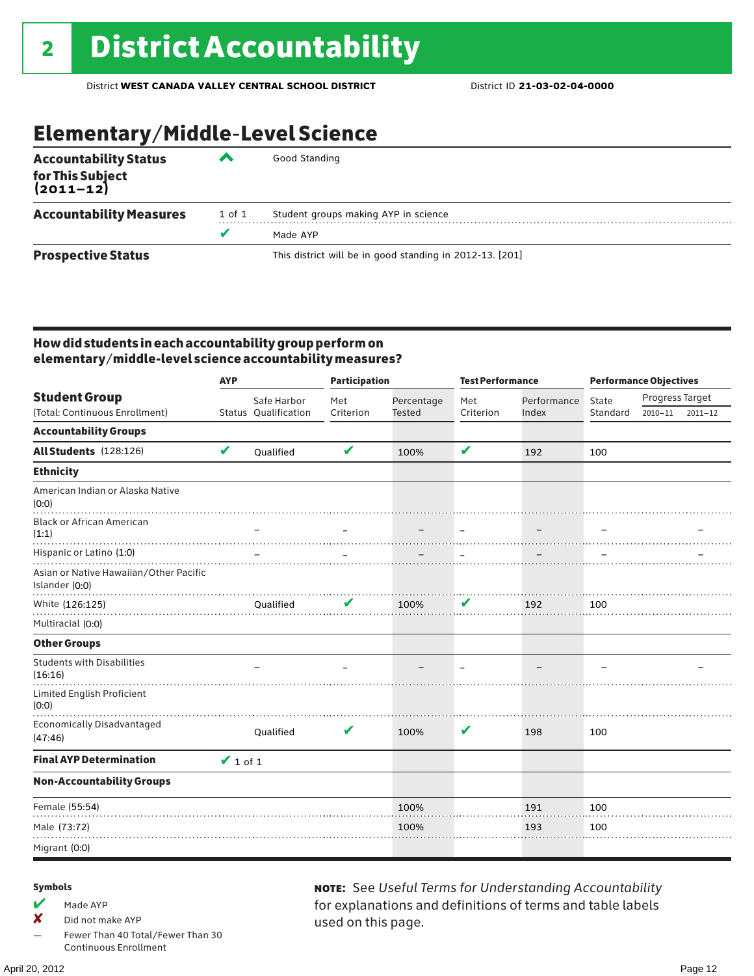# Elementary/Middle-Level Science

| <b>Accountability Status</b><br>for This Subject<br>(2011–12) | ◚          | Good Standing                                            |
|---------------------------------------------------------------|------------|----------------------------------------------------------|
| <b>Accountability Measures</b>                                | $1$ of $1$ | Student groups making AYP in science                     |
|                                                               | v          | Made AYP                                                 |
| <b>Prospective Status</b>                                     |            | This district will be in good standing in 2012-13. [201] |

### How did students in each accountability group perform on elementary/middle-level science accountability measures?

|                                                          | <b>AYP</b>    |                      | <b>Participation</b> |               | <b>Test Performance</b>  |             | <b>Performance Objectives</b> |                 |             |
|----------------------------------------------------------|---------------|----------------------|----------------------|---------------|--------------------------|-------------|-------------------------------|-----------------|-------------|
| <b>Student Group</b>                                     |               | Safe Harbor          | Met                  | Percentage    | Met                      | Performance | State                         | Progress Target |             |
| (Total: Continuous Enrollment)                           |               | Status Qualification | Criterion            | <b>Tested</b> | Criterion                | Index       | Standard                      | $2010 - 11$     | $2011 - 12$ |
| <b>Accountability Groups</b>                             |               |                      |                      |               |                          |             |                               |                 |             |
| All Students (128:126)                                   | $\mathbf v$   | Qualified            | $\mathbf v$          | 100%          | V                        | 192         | 100                           |                 |             |
| <b>Ethnicity</b>                                         |               |                      |                      |               |                          |             |                               |                 |             |
| American Indian or Alaska Native<br>(0:0)                |               |                      |                      |               |                          |             |                               |                 |             |
| <b>Black or African American</b><br>(1:1)                |               |                      |                      |               | $\overline{\phantom{m}}$ |             |                               |                 |             |
| Hispanic or Latino (1:0)                                 |               |                      |                      |               |                          |             |                               |                 |             |
| Asian or Native Hawaiian/Other Pacific<br>Islander (0:0) |               |                      |                      |               |                          |             |                               |                 |             |
| White (126:125)                                          |               | Qualified            | v                    | 100%          | V                        | 192         | 100                           |                 |             |
| Multiracial (0:0)                                        |               |                      |                      |               |                          |             |                               |                 |             |
| <b>Other Groups</b>                                      |               |                      |                      |               |                          |             |                               |                 |             |
| <b>Students with Disabilities</b><br>(16:16)             |               |                      |                      |               |                          |             |                               |                 |             |
| Limited English Proficient<br>(0:0)                      |               |                      |                      |               |                          |             |                               |                 |             |
| <b>Economically Disadvantaged</b><br>(47:46)             |               | Qualified            | V                    | 100%          | V                        | 198         | 100                           |                 |             |
| <b>Final AYP Determination</b>                           | $\vee$ 1 of 1 |                      |                      |               |                          |             |                               |                 |             |
| <b>Non-Accountability Groups</b>                         |               |                      |                      |               |                          |             |                               |                 |             |
| Female (55:54)                                           |               |                      |                      | 100%          |                          | 191         | 100                           |                 |             |
| Male (73:72)                                             |               |                      |                      | 100%          |                          | 193         | 100                           |                 |             |
| Migrant (0:0)                                            |               |                      |                      |               |                          |             |                               |                 |             |

### Symbols

- $M$  Made AYP
- ✘ Did not make AYP
- Fewer Than 40 Total/Fewer Than 30 Continuous Enrollment

note: See *Useful Terms for Understanding Accountability*  for explanations and definitions of terms and table labels used on this page.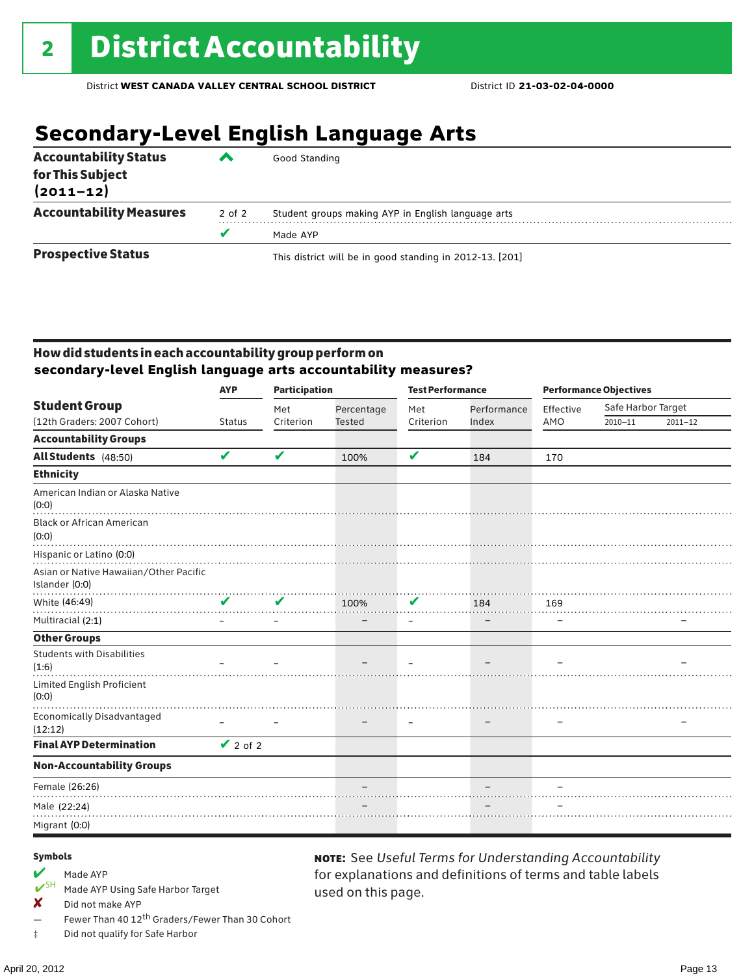# **Secondary-Level English Language Arts**

| <b>Accountability Status</b>      | ▰      | Good Standing                                            |  |  |  |  |  |
|-----------------------------------|--------|----------------------------------------------------------|--|--|--|--|--|
| for This Subject<br>$(2011 - 12)$ |        |                                                          |  |  |  |  |  |
| <b>Accountability Measures</b>    | 2 of 2 | Student groups making AYP in English language arts       |  |  |  |  |  |
|                                   | v      | Made AYP                                                 |  |  |  |  |  |
| <b>Prospective Status</b>         |        | This district will be in good standing in 2012-13. [201] |  |  |  |  |  |

### How did students in each accountability group perform on **secondary-level English language arts accountability measures?**

|                                                                                      | <b>AYP</b>    | <b>Participation</b> |               | <b>Test Performance</b> |             | <b>Performance Objectives</b> |                    |             |
|--------------------------------------------------------------------------------------|---------------|----------------------|---------------|-------------------------|-------------|-------------------------------|--------------------|-------------|
| <b>Student Group</b>                                                                 |               | Met                  | Percentage    | Met                     | Performance | Effective                     | Safe Harbor Target |             |
| (12th Graders: 2007 Cohort)                                                          | <b>Status</b> | Criterion            | <b>Tested</b> | Criterion               | Index       | AMO                           | $2010 - 11$        | $2011 - 12$ |
| <b>Accountability Groups</b>                                                         |               |                      |               |                         |             |                               |                    |             |
| All Students (48:50)                                                                 | V             | V                    | 100%          | V                       | 184         | 170                           |                    |             |
| <b>Ethnicity</b>                                                                     |               |                      |               |                         |             |                               |                    |             |
| American Indian or Alaska Native<br>(0:0)                                            |               |                      |               |                         |             |                               |                    |             |
| <b>Black or African American</b><br>(0:0)                                            |               |                      |               |                         |             |                               |                    |             |
| Hispanic or Latino (0:0)<br>Asian or Native Hawaiian/Other Pacific<br>Islander (0:0) |               |                      |               |                         |             |                               |                    |             |
| White (46:49)                                                                        | ✔             | ✔                    | 100%          | V                       | 184         | 169                           |                    |             |
| Multiracial (2:1)                                                                    |               |                      |               |                         |             |                               |                    |             |
| <b>Other Groups</b>                                                                  |               |                      |               |                         |             |                               |                    |             |
| <b>Students with Disabilities</b><br>(1:6)                                           |               |                      |               |                         |             |                               |                    |             |
| Limited English Proficient<br>(0:0)                                                  |               |                      |               |                         |             |                               |                    |             |
| Economically Disadvantaged<br>(12:12)                                                |               |                      |               |                         |             |                               |                    |             |
| <b>Final AYP Determination</b>                                                       | $\vee$ 2 of 2 |                      |               |                         |             |                               |                    |             |
| <b>Non-Accountability Groups</b>                                                     |               |                      |               |                         |             |                               |                    |             |
| Female (26:26)                                                                       |               |                      |               |                         |             |                               |                    |             |
| Male (22:24)                                                                         |               |                      |               |                         |             |                               |                    |             |
| Migrant (0:0)                                                                        |               |                      |               |                         |             |                               |                    |             |

used on this page.

note: See *Useful Terms for Understanding Accountability*  for explanations and definitions of terms and table labels

#### Symbols

- Made AYP<br> **V**SH Made AVP
- Made AYP Using Safe Harbor Target
- X Did not make AYP
- Fewer Than 40 12<sup>th</sup> Graders/Fewer Than 30 Cohort
- ‡ Did not qualify for Safe Harbor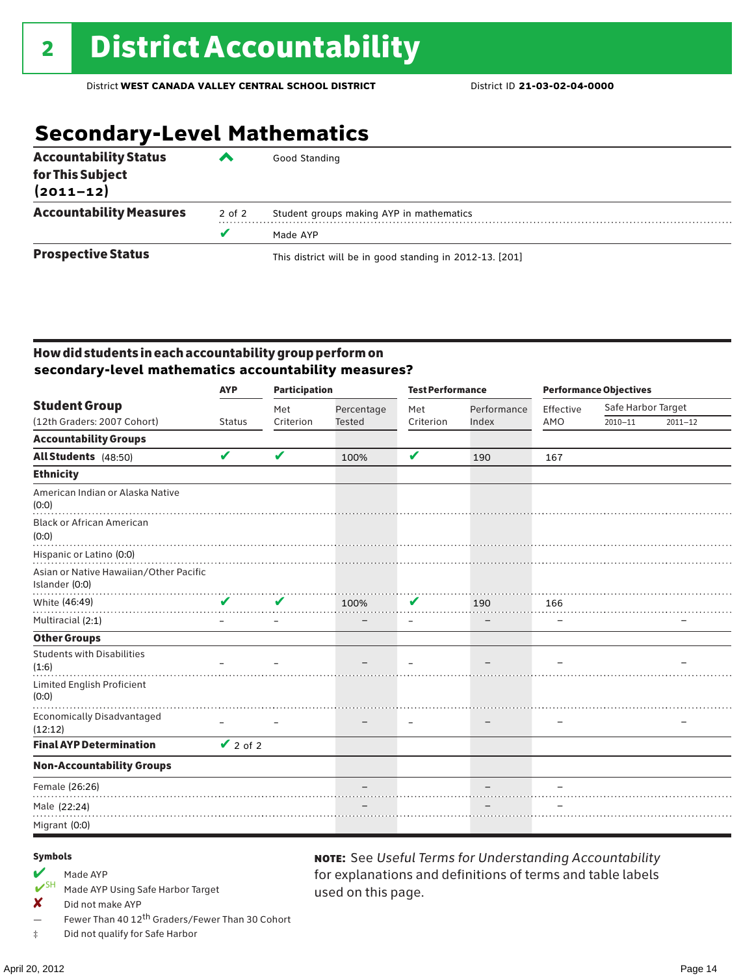# **Secondary-Level Mathematics**

| <b>Accountability Status</b><br>for This Subject<br>$(2011 - 12)$ | ‴      | Good Standing                                            |
|-------------------------------------------------------------------|--------|----------------------------------------------------------|
| <b>Accountability Measures</b>                                    | 2 of 2 | Student groups making AYP in mathematics                 |
|                                                                   | v      | Made AYP                                                 |
| <b>Prospective Status</b>                                         |        | This district will be in good standing in 2012-13. [201] |

### How did students in each accountability group perform on **secondary-level mathematics accountability measures?**

|                                                                                      | <b>AYP</b>    | <b>Participation</b>       |               | <b>Test Performance</b> |             | <b>Performance Objectives</b> |                    |             |
|--------------------------------------------------------------------------------------|---------------|----------------------------|---------------|-------------------------|-------------|-------------------------------|--------------------|-------------|
| <b>Student Group</b>                                                                 |               | Met                        | Percentage    | Met                     | Performance | Effective                     | Safe Harbor Target |             |
| (12th Graders: 2007 Cohort)                                                          | <b>Status</b> | Criterion                  | <b>Tested</b> | Criterion               | Index       | AMO                           | $2010 - 11$        | $2011 - 12$ |
| <b>Accountability Groups</b>                                                         |               |                            |               |                         |             |                               |                    |             |
| All Students (48:50)                                                                 | V             | $\boldsymbol{\mathcal{U}}$ | 100%          | $\mathbf v$             | 190         | 167                           |                    |             |
| <b>Ethnicity</b>                                                                     |               |                            |               |                         |             |                               |                    |             |
| American Indian or Alaska Native<br>(0:0)                                            |               |                            |               |                         |             |                               |                    |             |
| <b>Black or African American</b><br>(0:0)                                            |               |                            |               |                         |             |                               |                    |             |
| Hispanic or Latino (0:0)<br>Asian or Native Hawaiian/Other Pacific<br>Islander (0:0) |               |                            |               |                         |             |                               |                    |             |
| White (46:49)                                                                        | V             | V                          | 100%          | V                       | 190         | 166                           |                    |             |
| Multiracial (2:1)                                                                    |               |                            |               |                         |             |                               |                    |             |
| <b>Other Groups</b>                                                                  |               |                            |               |                         |             |                               |                    |             |
| <b>Students with Disabilities</b><br>(1:6)                                           |               |                            |               |                         |             |                               |                    |             |
| Limited English Proficient<br>(0:0)                                                  |               |                            |               |                         |             |                               |                    |             |
| Economically Disadvantaged<br>(12:12)                                                |               |                            |               |                         |             |                               |                    |             |
| <b>Final AYP Determination</b>                                                       | $\vee$ 2 of 2 |                            |               |                         |             |                               |                    |             |
| <b>Non-Accountability Groups</b>                                                     |               |                            |               |                         |             |                               |                    |             |
| Female (26:26)                                                                       |               |                            |               |                         |             |                               |                    |             |
| Male (22:24)                                                                         |               |                            |               |                         |             |                               |                    |             |
| Migrant (0:0)                                                                        |               |                            |               |                         |             |                               |                    |             |

used on this page.

note: See *Useful Terms for Understanding Accountability*  for explanations and definitions of terms and table labels

#### Symbols

- Made AYP<br>  $V$ <sup>SH</sup> Made AVP
- Made AYP Using Safe Harbor Target
- ✘ Did not make AYP
- Fewer Than 40 12th Graders/Fewer Than 30 Cohort
- ‡ Did not qualify for Safe Harbor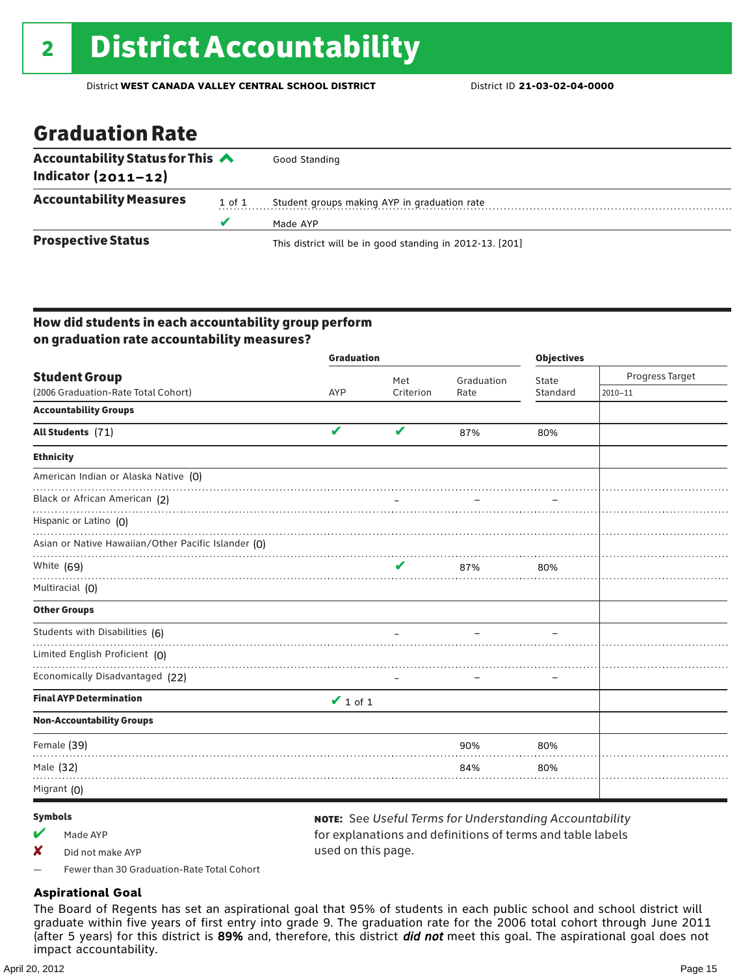### Graduation Rate

| Accountability Status for This $\triangle$<br>Indicator $(2011-12)$ |        | Good Standing                                            |
|---------------------------------------------------------------------|--------|----------------------------------------------------------|
|                                                                     |        |                                                          |
| <b>Accountability Measures</b>                                      | 1 of 1 | Student groups making AYP in graduation rate             |
|                                                                     | u      | Made AYP                                                 |
| <b>Prospective Status</b>                                           |        | This district will be in good standing in 2012-13. [201] |

### How did students in each accountability group perform on graduation rate accountability measures?

|                                                     | <b>Graduation</b> |           | <b>Objectives</b> |          |                 |
|-----------------------------------------------------|-------------------|-----------|-------------------|----------|-----------------|
| <b>Student Group</b>                                |                   | Met       | Graduation        | State    | Progress Target |
| (2006 Graduation-Rate Total Cohort)                 | <b>AYP</b>        | Criterion | Rate              | Standard | $2010 - 11$     |
| <b>Accountability Groups</b>                        |                   |           |                   |          |                 |
| All Students (71)                                   | V                 | V         | 87%               | 80%      |                 |
| <b>Ethnicity</b>                                    |                   |           |                   |          |                 |
| American Indian or Alaska Native (0)                |                   |           |                   |          |                 |
| Black or African American (2)                       |                   |           |                   |          |                 |
| Hispanic or Latino (O)                              |                   |           |                   |          |                 |
| Asian or Native Hawaiian/Other Pacific Islander (O) |                   |           |                   |          |                 |
| White (69)                                          |                   | V         | 87%               | 80%      |                 |
| Multiracial (0)                                     |                   |           |                   |          |                 |
| <b>Other Groups</b>                                 |                   |           |                   |          |                 |
| Students with Disabilities (6)                      |                   |           |                   |          |                 |
| Limited English Proficient (0)                      |                   |           |                   |          |                 |
| Economically Disadvantaged (22)                     |                   |           |                   |          |                 |
| <b>Final AYP Determination</b>                      | $\vee$ 1 of 1     |           |                   |          |                 |
| <b>Non-Accountability Groups</b>                    |                   |           |                   |          |                 |
| Female (39)                                         |                   |           | 90%               | 80%      |                 |
| Male (32)                                           |                   |           | 84%               | 80%      |                 |
| Migrant (0)                                         |                   |           |                   |          |                 |

#### Symbols

Made AYP

✘ Did not make AYP

note: See *Useful Terms for Understanding Accountability*  for explanations and definitions of terms and table labels used on this page.

— Fewer than 30 Graduation-Rate Total Cohort

### **Aspirational Goal**

The Board of Regents has set an aspirational goal that 95% of students in each public school and school district will graduate within five years of first entry into grade 9. The graduation rate for the 2006 total cohort through June 2011 (after 5 years) for this district is 89% and, therefore, this district *did not* meet this goal. The aspirational goal does not impact accountability.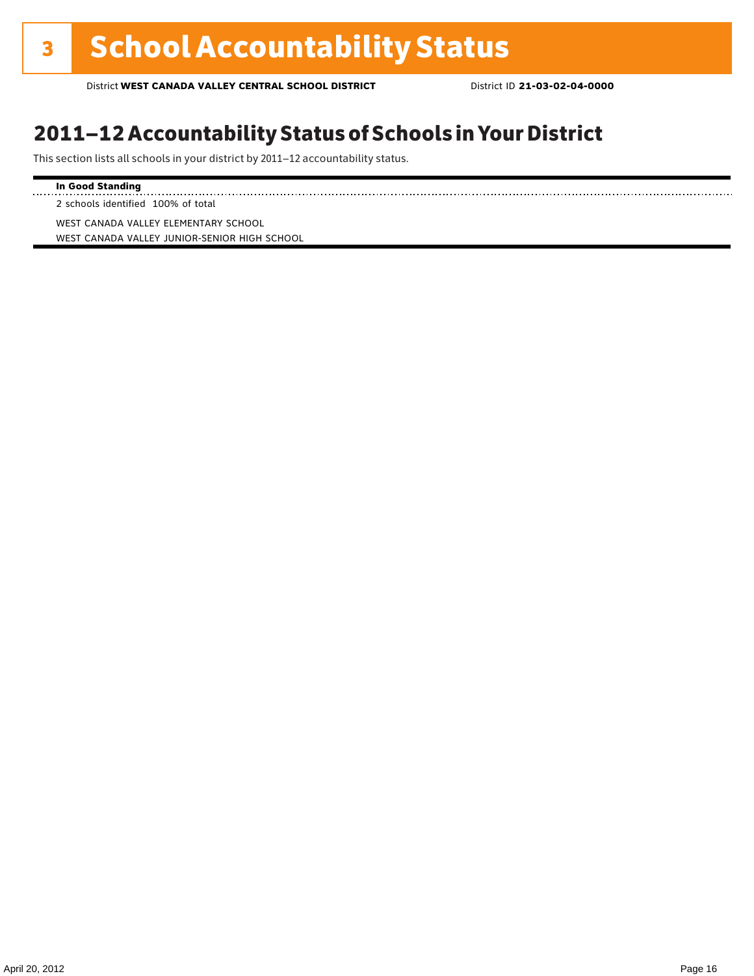### 2011–12 Accountability Status of Schools in Your District

This section lists all schools in your district by 2011–12 accountability status.

### **In Good Standing**

. . . . . . . . . . . . . . . . . . 2 schools identified 100% of total

WEST CANADA VALLEY ELEMENTARY SCHOOL WEST CANADA VALLEY JUNIOR-SENIOR HIGH SCHOOL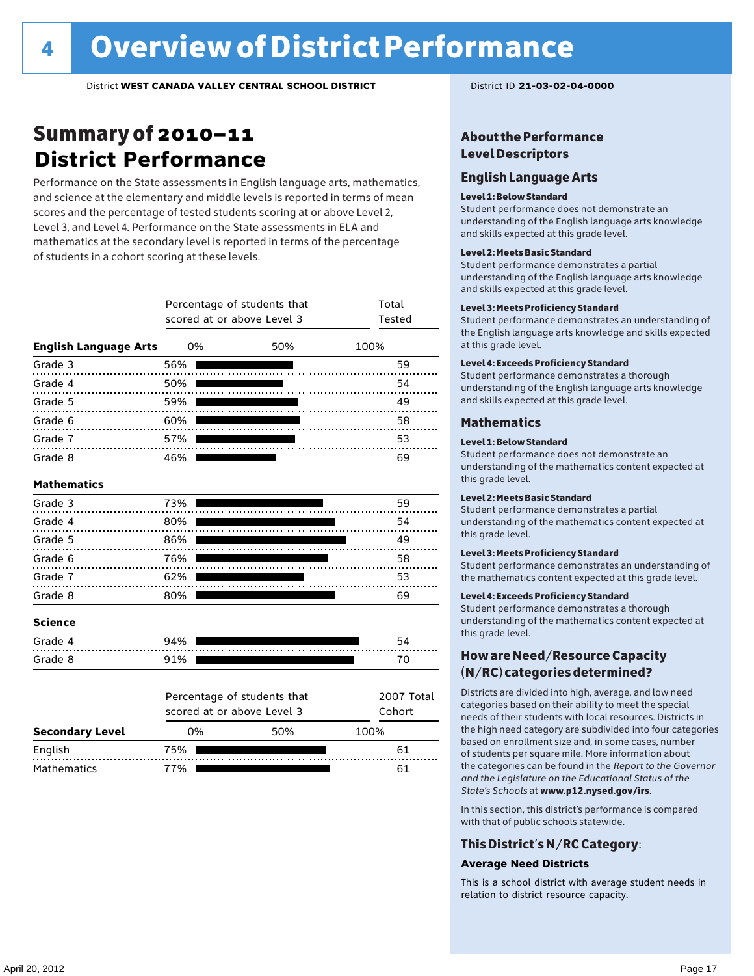### Summary of 2010–11 **District Performance**

Performance on the State assessments in English language arts, mathematics, and science at the elementary and middle levels is reported in terms of mean scores and the percentage of tested students scoring at or above Level 2, Level 3, and Level 4. Performance on the State assessments in ELA and mathematics at the secondary level is reported in terms of the percentage of students in a cohort scoring at these levels.

|                              |     | scored at or above Level 3 | Percentage of students that | Total<br>Tested      |
|------------------------------|-----|----------------------------|-----------------------------|----------------------|
| <b>English Language Arts</b> | 0%  |                            | 50%                         | 100%                 |
| Grade 3                      | 56% |                            |                             | 59                   |
| Grade 4                      | 50% |                            |                             | 54                   |
| Grade 5                      | 59% |                            |                             | 49                   |
| Grade 6                      | 60% |                            |                             | 58                   |
| Grade 7                      | 57% |                            |                             | 53                   |
| Grade 8                      | 46% |                            |                             | 69                   |
| <b>Mathematics</b>           |     |                            |                             |                      |
| Grade 3                      | 73% |                            |                             | 59                   |
| Grade 4                      | 80% |                            |                             | 54                   |
| Grade 5                      | 86% |                            |                             | 49                   |
| Grade 6                      | 76% |                            |                             | 58                   |
| Grade 7                      | 62% |                            |                             | 53                   |
| Grade 8                      | 80% |                            |                             | 69                   |
| <b>Science</b>               |     |                            |                             |                      |
| Grade 4                      | 94% |                            |                             | 54                   |
| Grade 8                      | 91% |                            |                             | 70                   |
|                              |     | scored at or above Level 3 | Percentage of students that | 2007 Total<br>Cohort |
| <b>Secondary Level</b>       | 0%  |                            | 50%                         | 100%                 |
| English                      | 75% |                            |                             | 61                   |
| <b>Mathematics</b>           | 77% |                            |                             | 61                   |

### About the Performance Level Descriptors

### English Language Arts

#### Level 1: Below Standard

Student performance does not demonstrate an understanding of the English language arts knowledge and skills expected at this grade level.

#### Level 2: Meets Basic Standard

Student performance demonstrates a partial understanding of the English language arts knowledge and skills expected at this grade level.

#### Level 3: Meets Proficiency Standard

Student performance demonstrates an understanding of the English language arts knowledge and skills expected at this grade level.

#### Level 4: Exceeds Proficiency Standard

Student performance demonstrates a thorough understanding of the English language arts knowledge and skills expected at this grade level.

#### Mathematics

#### Level 1: Below Standard

Student performance does not demonstrate an understanding of the mathematics content expected at this grade level.

#### Level 2: Meets Basic Standard

Student performance demonstrates a partial understanding of the mathematics content expected at this grade level.

#### Level 3: Meets Proficiency Standard

Student performance demonstrates an understanding of the mathematics content expected at this grade level.

#### Level 4: Exceeds Proficiency Standard

Student performance demonstrates a thorough understanding of the mathematics content expected at this grade level.

### How are Need/Resource Capacity (N/RC) categories determined?

Districts are divided into high, average, and low need categories based on their ability to meet the special needs of their students with local resources. Districts in the high need category are subdivided into four categories based on enrollment size and, in some cases, number of students per square mile. More information about the categories can be found in the *Report to the Governor and the Legislature on the Educational Status of the State's Schools* at www.p12.nysed.gov/irs.

In this section, this district's performance is compared with that of public schools statewide.

### This District's N/RC Category:

#### **Average Need Districts**

This is a school district with average student needs in relation to district resource capacity.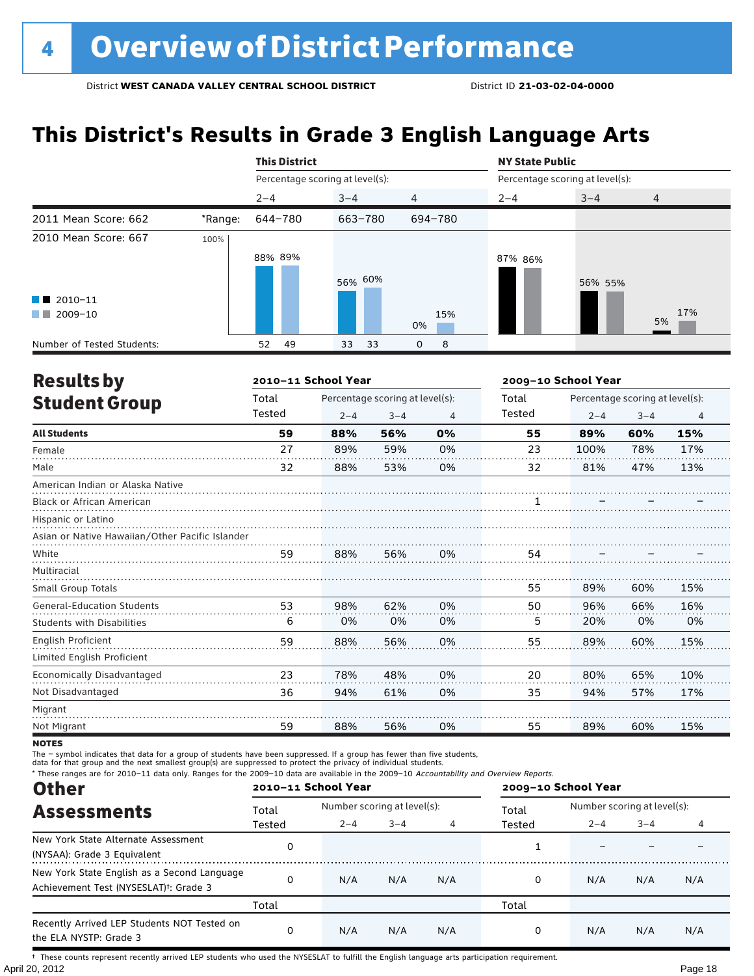### **This District's Results in Grade 3 English Language Arts**

|                            |         | <b>This District</b>            |            |                | <b>NY State Public</b> |                                 |                |  |
|----------------------------|---------|---------------------------------|------------|----------------|------------------------|---------------------------------|----------------|--|
|                            |         | Percentage scoring at level(s): |            |                |                        | Percentage scoring at level(s): |                |  |
|                            |         | $2 - 4$                         | $3 - 4$    | $\overline{4}$ | $2 - 4$                | $3 - 4$                         | $\overline{4}$ |  |
| 2011 Mean Score: 662       | *Range: | 644-780                         | 663-780    | 694-780        |                        |                                 |                |  |
| 2010 Mean Score: 667       | 100%    | 88% 89%                         | 56% 60%    |                | 87% 86%                | 56% 55%                         |                |  |
| $\blacksquare$ 2010-11     |         |                                 |            |                |                        |                                 |                |  |
| 2009-10<br><b>The Co</b>   |         |                                 |            | 15%<br>0%      |                        |                                 | 17%<br>5%      |  |
| Number of Tested Students: |         | 49<br>52                        | 33<br>- 33 | 8<br>0         |                        |                                 |                |  |

| <b>Results by</b>                               |        | 2010-11 School Year |                                 |                | 2009-10 School Year |         |                                 |                |  |  |
|-------------------------------------------------|--------|---------------------|---------------------------------|----------------|---------------------|---------|---------------------------------|----------------|--|--|
| <b>Student Group</b>                            | Total  |                     | Percentage scoring at level(s): |                | Total               |         | Percentage scoring at level(s): |                |  |  |
|                                                 | Tested | $2 - 4$             | $3 - 4$                         | $\overline{4}$ | Tested              | $2 - 4$ | $3 - 4$                         | $\overline{4}$ |  |  |
| <b>All Students</b>                             | 59     | 88%                 | 56%                             | 0%             | 55                  | 89%     | 60%                             | 15%            |  |  |
| Female                                          | 27     | 89%                 | 59%                             | 0%             | 23                  | 100%    | 78%                             | 17%            |  |  |
| Male                                            | 32     | 88%                 | 53%                             | 0%             | 32                  | 81%     | 47%                             | 13%            |  |  |
| American Indian or Alaska Native                |        |                     |                                 |                |                     |         |                                 |                |  |  |
| <b>Black or African American</b>                |        |                     |                                 |                |                     |         |                                 |                |  |  |
| Hispanic or Latino                              |        |                     |                                 |                |                     |         |                                 |                |  |  |
| Asian or Native Hawaiian/Other Pacific Islander |        |                     |                                 |                |                     |         |                                 |                |  |  |
| White                                           | 59     | 88%                 | 56%                             | 0%             | 54                  |         |                                 |                |  |  |
| Multiracial                                     |        |                     |                                 |                |                     |         |                                 |                |  |  |
| Small Group Totals                              |        |                     |                                 |                | 55                  | 89%     | 60%                             | 15%            |  |  |
| <b>General-Education Students</b>               | 53     | 98%                 | 62%                             | 0%             | 50                  | 96%     | 66%                             | 16%            |  |  |
| <b>Students with Disabilities</b>               | 6      | 0%                  | 0%                              | 0%             | 5                   | 20%     | 0%                              | 0%             |  |  |
| English Proficient                              | 59     | 88%                 | 56%                             | 0%             | 55                  | 89%     | 60%                             | 15%            |  |  |
| Limited English Proficient                      |        |                     |                                 |                |                     |         |                                 |                |  |  |
| Economically Disadvantaged                      | 23     | 78%                 | 48%                             | 0%             | 20                  | 80%     | 65%                             | 10%            |  |  |
| Not Disadvantaged                               | 36     | 94%                 | 61%                             | 0%             | 35                  | 94%     | 57%                             | 17%            |  |  |
| Migrant                                         |        |                     |                                 |                |                     |         |                                 |                |  |  |
| Not Migrant                                     | 59     | 88%                 | 56%                             | 0%             | 55                  | 89%     | 60%                             | 15%            |  |  |

**NOTES** 

The – symbol indicates that data for a group of students have been suppressed. If a group has fewer than five students,

data for that group and the next smallest group(s) are suppressed to protect the privacy of individual students.

\* These ranges are for 2010–11 data only. Ranges for the 2009–10 data are available in the 2009–10 Accountability and Overview Reports.

| <b>Other</b>                                                                                      | 2010-11 School Year |                             |         |     | 2009-10 School Year |                             |         |     |
|---------------------------------------------------------------------------------------------------|---------------------|-----------------------------|---------|-----|---------------------|-----------------------------|---------|-----|
| <b>Assessments</b>                                                                                | Total               | Number scoring at level(s): |         |     | Total               | Number scoring at level(s): |         |     |
|                                                                                                   | Tested              | $2 - 4$                     | $3 - 4$ |     | Tested              | $2 - 4$                     | $3 - 4$ |     |
| New York State Alternate Assessment<br>(NYSAA): Grade 3 Equivalent                                |                     |                             |         |     |                     |                             |         |     |
| New York State English as a Second Language<br>Achievement Test (NYSESLAT) <sup>+</sup> : Grade 3 | $\Omega$            | N/A                         | N/A     | N/A | 0                   | N/A                         | N/A     | N/A |
|                                                                                                   | Total               |                             |         |     | Total               |                             |         |     |
| Recently Arrived LEP Students NOT Tested on<br>the ELA NYSTP: Grade 3                             | $\Omega$            | N/A                         | N/A     | N/A | 0                   | N/A                         | N/A     | N/A |

April 20, 2012 Page 18 † These counts represent recently arrived LEP students who used the NYSESLAT to fulfill the English language arts participation requirement.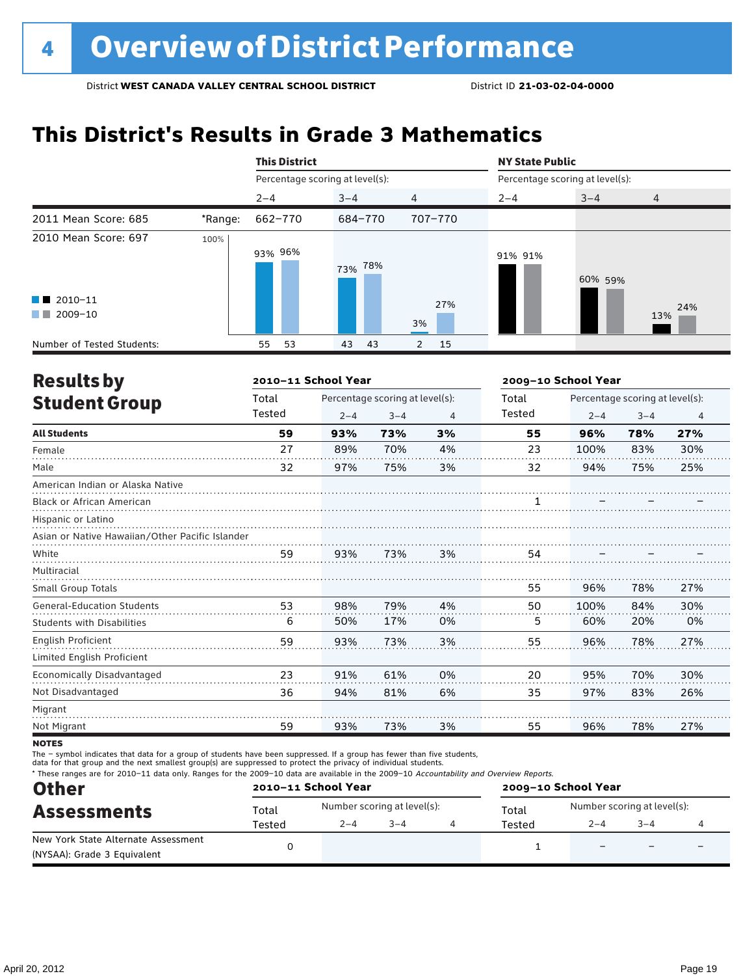# **This District's Results in Grade 3 Mathematics**

|                                                  |         | <b>This District</b>            |            |                      |         | <b>NY State Public</b><br>Percentage scoring at level(s): |                |  |  |
|--------------------------------------------------|---------|---------------------------------|------------|----------------------|---------|-----------------------------------------------------------|----------------|--|--|
|                                                  |         | Percentage scoring at level(s): |            |                      |         |                                                           |                |  |  |
|                                                  |         | $2 - 4$                         | $3 - 4$    | 4                    | $2 - 4$ | $3 - 4$                                                   | $\overline{4}$ |  |  |
| 2011 Mean Score: 685                             | *Range: | 662-770                         | 684-770    | 707-770              |         |                                                           |                |  |  |
| 2010 Mean Score: 697                             | 100%    | 93% 96%                         | 78%<br>73% |                      | 91% 91% | 60% 59%                                                   |                |  |  |
| $\blacksquare$ 2010-11<br>2009-10<br>a kacamatan |         |                                 |            | 27%<br>3%            |         |                                                           | 24%<br>13%     |  |  |
| Number of Tested Students:                       |         | 53<br>55                        | 43<br>43   | 15<br>$\overline{2}$ |         |                                                           |                |  |  |

| <b>Results by</b>                               |        | 2010-11 School Year |                                 |    | 2009-10 School Year |                                 |         |                |  |
|-------------------------------------------------|--------|---------------------|---------------------------------|----|---------------------|---------------------------------|---------|----------------|--|
| <b>Student Group</b>                            | Total  |                     | Percentage scoring at level(s): |    | Total               | Percentage scoring at level(s): |         |                |  |
|                                                 | Tested | $2 - 4$             | $3 - 4$                         | 4  | Tested              | $2 - 4$                         | $3 - 4$ | $\overline{4}$ |  |
| <b>All Students</b>                             | 59     | 93%                 | 73%                             | 3% | 55                  | 96%                             | 78%     | 27%            |  |
| Female                                          | 27     | 89%                 | 70%                             | 4% | 23                  | 100%                            | 83%     | 30%            |  |
| Male                                            | 32     | 97%                 | 75%                             | 3% | 32                  | 94%                             | 75%     | 25%            |  |
| American Indian or Alaska Native                |        |                     |                                 |    |                     |                                 |         |                |  |
| <b>Black or African American</b>                |        |                     |                                 |    |                     |                                 |         |                |  |
| Hispanic or Latino                              |        |                     |                                 |    |                     |                                 |         |                |  |
| Asian or Native Hawaiian/Other Pacific Islander |        |                     |                                 |    |                     |                                 |         |                |  |
| White                                           | 59     | 93%                 | 73%                             | 3% | 54                  |                                 |         |                |  |
| Multiracial                                     |        |                     |                                 |    |                     |                                 |         |                |  |
| <b>Small Group Totals</b>                       |        |                     |                                 |    | 55                  | 96%                             | 78%     | 27%            |  |
| <b>General-Education Students</b>               | 53     | 98%                 | 79%                             | 4% | 50                  | 100%                            | 84%     | 30%            |  |
| <b>Students with Disabilities</b>               | 6      | 50%                 | 17%                             | 0% | 5                   | 60%                             | 20%     | 0%             |  |
| English Proficient                              | 59     | 93%                 | 73%                             | 3% | 55                  | 96%                             | 78%     | 27%            |  |
| Limited English Proficient                      |        |                     |                                 |    |                     |                                 |         |                |  |
| Economically Disadvantaged                      | 23     | 91%                 | 61%                             | 0% | 20                  | 95%                             | 70%     | 30%            |  |
| Not Disadvantaged                               | 36     | 94%                 | 81%                             | 6% | 35                  | 97%                             | 83%     | 26%            |  |
| Migrant                                         |        |                     |                                 |    |                     |                                 |         |                |  |
| Not Migrant                                     | 59     | 93%                 | 73%                             | 3% | 55                  | 96%                             | 78%     | 27%            |  |
|                                                 |        |                     |                                 |    |                     |                                 |         |                |  |

**NOTES** 

The – symbol indicates that data for a group of students have been suppressed. If a group has fewer than five students,

data for that group and the next smallest group(s) are suppressed to protect the privacy of individual students.

\* These ranges are for 2010–11 data only. Ranges for the 2009–10 data are available in the 2009–10 Accountability and Overview Reports.

| <b>Other</b>                        |                                        | 2010-11 School Year         |  |  | 2009-10 School Year                  |         |         |                          |
|-------------------------------------|----------------------------------------|-----------------------------|--|--|--------------------------------------|---------|---------|--------------------------|
| <b>Assessments</b>                  | Total                                  | Number scoring at level(s): |  |  | Number scoring at level(s):<br>Total |         |         |                          |
|                                     | $3 - 4$<br>$2 - 4$<br>Tested<br>Tested |                             |  |  |                                      | $2 - 4$ | $3 - 4$ |                          |
| New York State Alternate Assessment |                                        |                             |  |  |                                      |         | -       | $\overline{\phantom{0}}$ |
| (NYSAA): Grade 3 Equivalent         |                                        |                             |  |  |                                      |         |         |                          |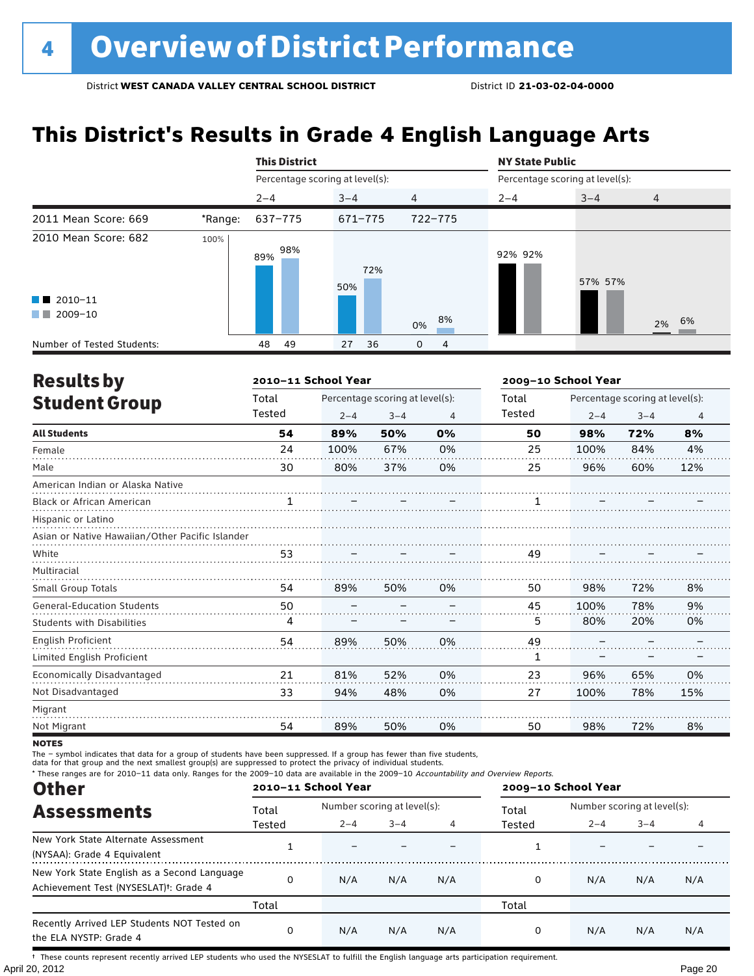### **This District's Results in Grade 4 English Language Arts**

|                                                                                                                                                                                                                                                                                                   |         | <b>This District</b>            |            |          |                                 | <b>NY State Public</b> |                |  |  |
|---------------------------------------------------------------------------------------------------------------------------------------------------------------------------------------------------------------------------------------------------------------------------------------------------|---------|---------------------------------|------------|----------|---------------------------------|------------------------|----------------|--|--|
|                                                                                                                                                                                                                                                                                                   |         | Percentage scoring at level(s): |            |          | Percentage scoring at level(s): |                        |                |  |  |
|                                                                                                                                                                                                                                                                                                   |         | $2 - 4$                         | $3 - 4$    | 4        | $2 - 4$                         | $3 - 4$                | $\overline{4}$ |  |  |
| 2011 Mean Score: 669                                                                                                                                                                                                                                                                              | *Range: | 637-775                         | 671-775    | 722-775  |                                 |                        |                |  |  |
| 2010 Mean Score: 682<br>$\blacksquare$ 2010-11<br>2009-10<br><b>The Contract of the Contract of the Contract of the Contract of the Contract of the Contract of the Contract of the Contract of the Contract of the Contract of the Contract of the Contract of The Contract of The Contract </b> | 100%    | 98%<br>89%                      | 72%<br>50% | 8%<br>0% | 92% 92%                         | 57% 57%                | 2% 6%          |  |  |
| Number of Tested Students:                                                                                                                                                                                                                                                                        |         | 49<br>48                        | 36<br>27   | 0<br>4   |                                 |                        |                |  |  |

| <b>Results by</b>                               |        | 2010-11 School Year |                                 |                | 2009-10 School Year |                                 |         |                |  |  |
|-------------------------------------------------|--------|---------------------|---------------------------------|----------------|---------------------|---------------------------------|---------|----------------|--|--|
| <b>Student Group</b>                            | Total  |                     | Percentage scoring at level(s): |                | Total               | Percentage scoring at level(s): |         |                |  |  |
|                                                 | Tested | $2 - 4$             | $3 - 4$                         | $\overline{4}$ | Tested              | $2 - 4$                         | $3 - 4$ | $\overline{4}$ |  |  |
| <b>All Students</b>                             | 54     | 89%                 | 50%                             | 0%             | 50                  | 98%                             | 72%     | 8%             |  |  |
| Female                                          | 24     | 100%                | 67%                             | 0%             | 25                  | 100%                            | 84%     | 4%             |  |  |
| Male                                            | 30     | 80%                 | 37%                             | 0%             | 25                  | 96%                             | 60%     | 12%            |  |  |
| American Indian or Alaska Native                |        |                     |                                 |                |                     |                                 |         |                |  |  |
| <b>Black or African American</b>                | 1      |                     |                                 |                |                     |                                 |         |                |  |  |
| Hispanic or Latino                              |        |                     |                                 |                |                     |                                 |         |                |  |  |
| Asian or Native Hawaiian/Other Pacific Islander |        |                     |                                 |                |                     |                                 |         |                |  |  |
| White                                           | 53     |                     |                                 |                | 49                  |                                 |         |                |  |  |
| Multiracial                                     |        |                     |                                 |                |                     |                                 |         |                |  |  |
| <b>Small Group Totals</b>                       | 54     | 89%                 | 50%                             | 0%             | 50                  | 98%                             | 72%     | 8%             |  |  |
| <b>General-Education Students</b>               | 50     |                     |                                 |                | 45                  | 100%                            | 78%     | 9%             |  |  |
| <b>Students with Disabilities</b>               | 4      |                     |                                 |                | 5                   | 80%                             | 20%     | 0%             |  |  |
| <b>English Proficient</b>                       | 54     | 89%                 | 50%                             | 0%             | 49                  |                                 |         |                |  |  |
| Limited English Proficient                      |        |                     |                                 |                | 1                   |                                 |         |                |  |  |
| Economically Disadvantaged                      | 21     | 81%                 | 52%                             | 0%             | 23                  | 96%                             | 65%     | 0%             |  |  |
| Not Disadvantaged                               | 33     | 94%                 | 48%                             | 0%             | 27                  | 100%                            | 78%     | 15%            |  |  |
| Migrant                                         |        |                     |                                 |                |                     |                                 |         |                |  |  |
| Not Migrant                                     | 54     | 89%                 | 50%                             | 0%             | 50                  | 98%                             | 72%     | 8%             |  |  |

**NOTES** 

The – symbol indicates that data for a group of students have been suppressed. If a group has fewer than five students,

data for that group and the next smallest group(s) are suppressed to protect the privacy of individual students.

\* These ranges are for 2010–11 data only. Ranges for the 2009–10 data are available in the 2009–10 Accountability and Overview Reports.

| <b>Other</b>                                                                                      | 2010-11 School Year |                             |         |     | 2009-10 School Year |                             |         |     |  |
|---------------------------------------------------------------------------------------------------|---------------------|-----------------------------|---------|-----|---------------------|-----------------------------|---------|-----|--|
| <b>Assessments</b>                                                                                | Total               | Number scoring at level(s): |         |     | Total               | Number scoring at level(s): |         |     |  |
|                                                                                                   | Tested              | $2 - 4$                     | $3 - 4$ |     | Tested              | $2 - 4$                     | $3 - 4$ |     |  |
| New York State Alternate Assessment<br>(NYSAA): Grade 4 Equivalent                                |                     |                             |         |     |                     |                             |         |     |  |
| New York State English as a Second Language<br>Achievement Test (NYSESLAT) <sup>+</sup> : Grade 4 |                     | N/A                         | N/A     | N/A | 0                   | N/A                         | N/A     | N/A |  |
|                                                                                                   | Total               |                             |         |     | Total               |                             |         |     |  |
| Recently Arrived LEP Students NOT Tested on<br>the ELA NYSTP: Grade 4                             | O                   | N/A                         | N/A     | N/A | 0                   | N/A                         | N/A     | N/A |  |

April 20, 2012 Page 20 † These counts represent recently arrived LEP students who used the NYSESLAT to fulfill the English language arts participation requirement.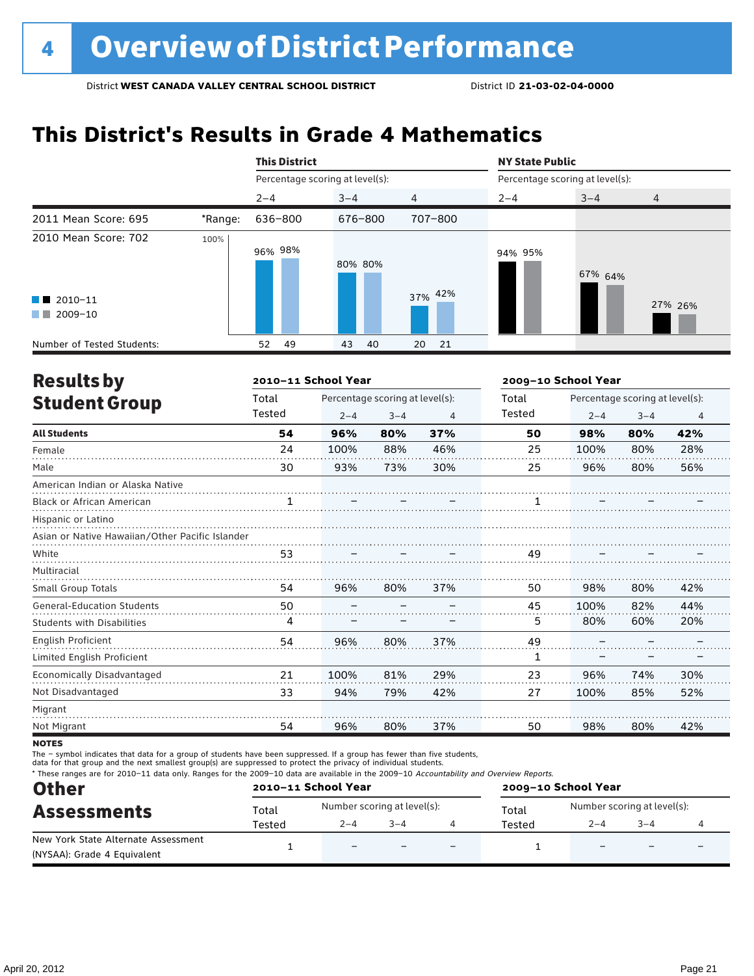# **This District's Results in Grade 4 Mathematics**

|                                                |         | <b>This District</b>            |          |          | <b>NY State Public</b>          |         |         |  |  |
|------------------------------------------------|---------|---------------------------------|----------|----------|---------------------------------|---------|---------|--|--|
|                                                |         | Percentage scoring at level(s): |          |          | Percentage scoring at level(s): |         |         |  |  |
|                                                |         | $2 - 4$                         | $3 - 4$  | 4        | $2 - 4$                         | $3 - 4$ | 4       |  |  |
| 2011 Mean Score: 695                           | *Range: | 636-800                         | 676-800  | 707-800  |                                 |         |         |  |  |
| 2010 Mean Score: 702<br>$\blacksquare$ 2010-11 | 100%    | 96% 98%                         | 80% 80%  | 37% 42%  | 94% 95%                         | 67% 64% | 27% 26% |  |  |
| 2009-10<br>a kacamatan                         |         |                                 |          |          |                                 |         |         |  |  |
| Number of Tested Students:                     |         | 49<br>52                        | 43<br>40 | 20<br>21 |                                 |         |         |  |  |

| <b>Results by</b>                               |        | 2010-11 School Year |                                 |     | 2009-10 School Year |                                 |         |                |  |
|-------------------------------------------------|--------|---------------------|---------------------------------|-----|---------------------|---------------------------------|---------|----------------|--|
| <b>Student Group</b>                            | Total  |                     | Percentage scoring at level(s): |     | Total               | Percentage scoring at level(s): |         |                |  |
|                                                 | Tested | $2 - 4$             | $3 - 4$                         | 4   | Tested              | $2 - 4$                         | $3 - 4$ | $\overline{4}$ |  |
| <b>All Students</b>                             | 54     | 96%                 | 80%                             | 37% | 50                  | 98%                             | 80%     | 42%            |  |
| Female                                          | 24     | 100%                | 88%                             | 46% | 25                  | 100%                            | 80%     | 28%            |  |
| Male                                            | 30     | 93%                 | 73%                             | 30% | 25                  | 96%                             | 80%     | 56%            |  |
| American Indian or Alaska Native                |        |                     |                                 |     |                     |                                 |         |                |  |
| <b>Black or African American</b>                | 1      |                     |                                 |     |                     |                                 |         |                |  |
| Hispanic or Latino                              |        |                     |                                 |     |                     |                                 |         |                |  |
| Asian or Native Hawaiian/Other Pacific Islander |        |                     |                                 |     |                     |                                 |         |                |  |
| White                                           | 53     |                     |                                 |     | 49                  |                                 |         |                |  |
| Multiracial                                     |        |                     |                                 |     |                     |                                 |         |                |  |
| Small Group Totals                              | 54     | 96%                 | 80%                             | 37% | 50                  | 98%                             | 80%     | 42%            |  |
| <b>General-Education Students</b>               | 50     |                     |                                 |     | 45                  | 100%                            | 82%     | 44%            |  |
| <b>Students with Disabilities</b>               | 4      |                     |                                 |     | 5.                  | 80%                             | 60%     | 20%            |  |
| <b>English Proficient</b>                       | 54     | 96%                 | 80%                             | 37% | 49                  |                                 |         |                |  |
| Limited English Proficient                      |        |                     |                                 |     | 1                   |                                 |         |                |  |
| Economically Disadvantaged                      | 21     | 100%                | 81%                             | 29% | 23                  | 96%                             | 74%     | 30%            |  |
| Not Disadvantaged                               | 33     | 94%                 | 79%                             | 42% | 27                  | 100%                            | 85%     | 52%            |  |
| Migrant                                         |        |                     |                                 |     |                     |                                 |         |                |  |
| Not Migrant                                     | 54     | 96%                 | 80%                             | 37% | 50                  | 98%                             | 80%     | 42%            |  |

**NOTES** 

The – symbol indicates that data for a group of students have been suppressed. If a group has fewer than five students,

data for that group and the next smallest group(s) are suppressed to protect the privacy of individual students.

\* These ranges are for 2010–11 data only. Ranges for the 2009–10 data are available in the 2009–10 Accountability and Overview Reports.

| <b>Other</b>                                                       |        | 2010-11 School Year                                                 |         |                          | 2009-10 School Year |                          |                          |                          |
|--------------------------------------------------------------------|--------|---------------------------------------------------------------------|---------|--------------------------|---------------------|--------------------------|--------------------------|--------------------------|
| <b>Assessments</b>                                                 | Total  | Number scoring at level(s):<br>Number scoring at level(s):<br>Total |         |                          |                     |                          |                          |                          |
|                                                                    | Tested | $2 - 4$                                                             | $3 - 4$ |                          | Tested              | $2 - 4$                  | $3 - 4$                  |                          |
| New York State Alternate Assessment<br>(NYSAA): Grade 4 Equivalent |        | $\overline{\phantom{0}}$                                            |         | $\overline{\phantom{0}}$ |                     | $\overline{\phantom{0}}$ | $\overline{\phantom{0}}$ | $\overline{\phantom{0}}$ |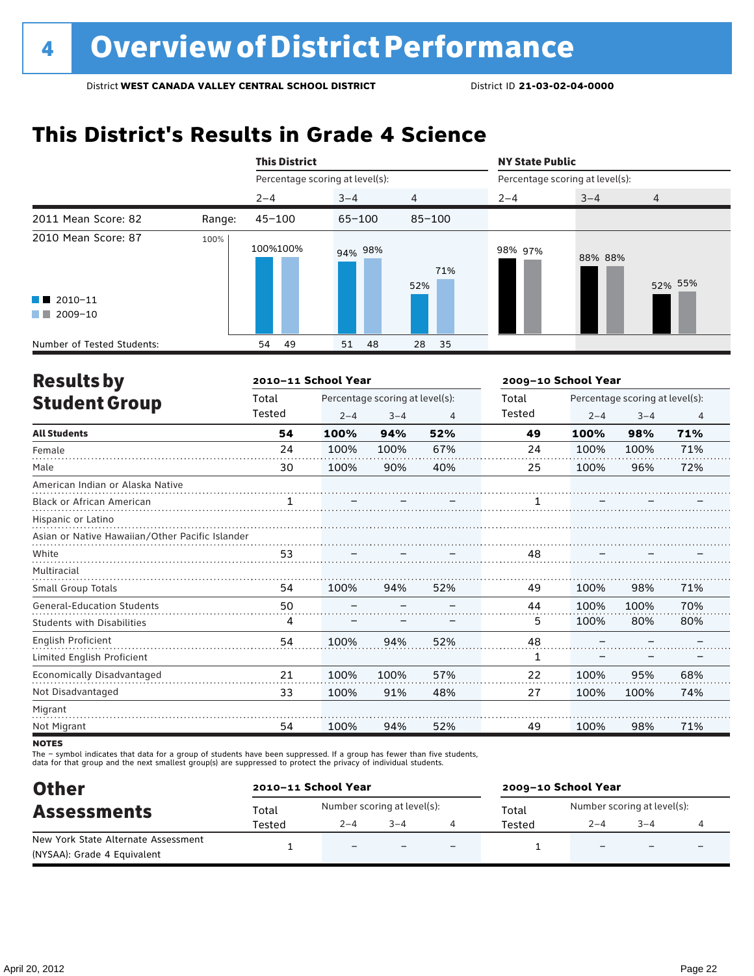# **This District's Results in Grade 4 Science**

|                                                                         |        | <b>This District</b>            |            |            |                                 | <b>NY State Public</b> |                |  |  |
|-------------------------------------------------------------------------|--------|---------------------------------|------------|------------|---------------------------------|------------------------|----------------|--|--|
|                                                                         |        | Percentage scoring at level(s): |            |            | Percentage scoring at level(s): |                        |                |  |  |
|                                                                         |        | $2 - 4$                         | $3 - 4$    | 4          | $2 - 4$                         | $3 - 4$                | $\overline{4}$ |  |  |
| 2011 Mean Score: 82                                                     | Range: | $45 - 100$                      | $65 - 100$ | $85 - 100$ |                                 |                        |                |  |  |
| 2010 Mean Score: 87<br>$\blacksquare$ 2010-11<br>2009-10<br>a kacamatan | 100%   | 100%100%                        | 94% 98%    | 71%<br>52% | 98% 97%                         | 88% 88%                | 52% 55%        |  |  |
| Number of Tested Students:                                              |        | 49<br>54                        | 51<br>48   | 28<br>35   |                                 |                        |                |  |  |

| <b>Results by</b>                               |        | 2010-11 School Year |                                 |     |        | 2009-10 School Year |                                 |                |  |
|-------------------------------------------------|--------|---------------------|---------------------------------|-----|--------|---------------------|---------------------------------|----------------|--|
| <b>Student Group</b>                            | Total  |                     | Percentage scoring at level(s): |     | Total  |                     | Percentage scoring at level(s): |                |  |
|                                                 | Tested | $2 - 4$             | $3 - 4$                         | 4   | Tested | $2 - 4$             | $3 - 4$                         | $\overline{4}$ |  |
| <b>All Students</b>                             | 54     | 100%                | 94%                             | 52% | 49     | 100%                | 98%                             | 71%            |  |
| Female                                          | 24     | 100%                | 100%                            | 67% | 24     | 100%                | 100%                            | 71%            |  |
| Male                                            | 30     | 100%                | 90%                             | 40% | 25     | 100%                | 96%                             | 72%            |  |
| American Indian or Alaska Native                |        |                     |                                 |     |        |                     |                                 |                |  |
| <b>Black or African American</b>                |        |                     |                                 |     |        |                     |                                 |                |  |
| Hispanic or Latino                              |        |                     |                                 |     |        |                     |                                 |                |  |
| Asian or Native Hawaiian/Other Pacific Islander |        |                     |                                 |     |        |                     |                                 |                |  |
| White                                           | 53     |                     |                                 |     | 48     |                     |                                 |                |  |
| Multiracial                                     |        |                     |                                 |     |        |                     |                                 |                |  |
| Small Group Totals                              | 54     | 100%                | 94%                             | 52% | 49     | 100%                | 98%                             | 71%            |  |
| <b>General-Education Students</b>               | 50     |                     |                                 |     | 44     | 100%                | 100%                            | 70%            |  |
| <b>Students with Disabilities</b>               | 4      |                     |                                 |     | 5.     | 100%                | 80%                             | 80%            |  |
| <b>English Proficient</b>                       | 54     | 100%                | 94%                             | 52% | 48     |                     |                                 |                |  |
| Limited English Proficient                      |        |                     |                                 |     | 1      |                     |                                 |                |  |
| Economically Disadvantaged                      | 21     | 100%                | 100%                            | 57% | 22     | 100%                | 95%                             | 68%            |  |
| Not Disadvantaged                               | 33     | 100%                | 91%                             | 48% | 27     | 100%                | 100%                            | 74%            |  |
| Migrant                                         |        |                     |                                 |     |        |                     |                                 |                |  |
| Not Migrant                                     | 54     | 100%                | 94%                             | 52% | 49     | 100%                | 98%                             | 71%            |  |

**NOTES** 

The – symbol indicates that data for a group of students have been suppressed. If a group has fewer than five students,<br>data for that group and the next smallest group(s) are suppressed to protect the privacy of individual

| <b>Other</b>                        |        | 2010-11 School Year         |         |                          | 2009-10 School Year |                                                        |  |  |
|-------------------------------------|--------|-----------------------------|---------|--------------------------|---------------------|--------------------------------------------------------|--|--|
| <b>Assessments</b>                  | Total  | Number scoring at level(s): |         |                          | Total               | Number scoring at level(s):<br>$3 - 4$<br>$2 - 4$<br>- |  |  |
|                                     | Tested | $2 - 4$                     | $3 - 4$ |                          | Tested              |                                                        |  |  |
| New York State Alternate Assessment |        | $\overline{\phantom{0}}$    |         | $\overline{\phantom{0}}$ |                     |                                                        |  |  |
| (NYSAA): Grade 4 Equivalent         |        |                             |         |                          |                     |                                                        |  |  |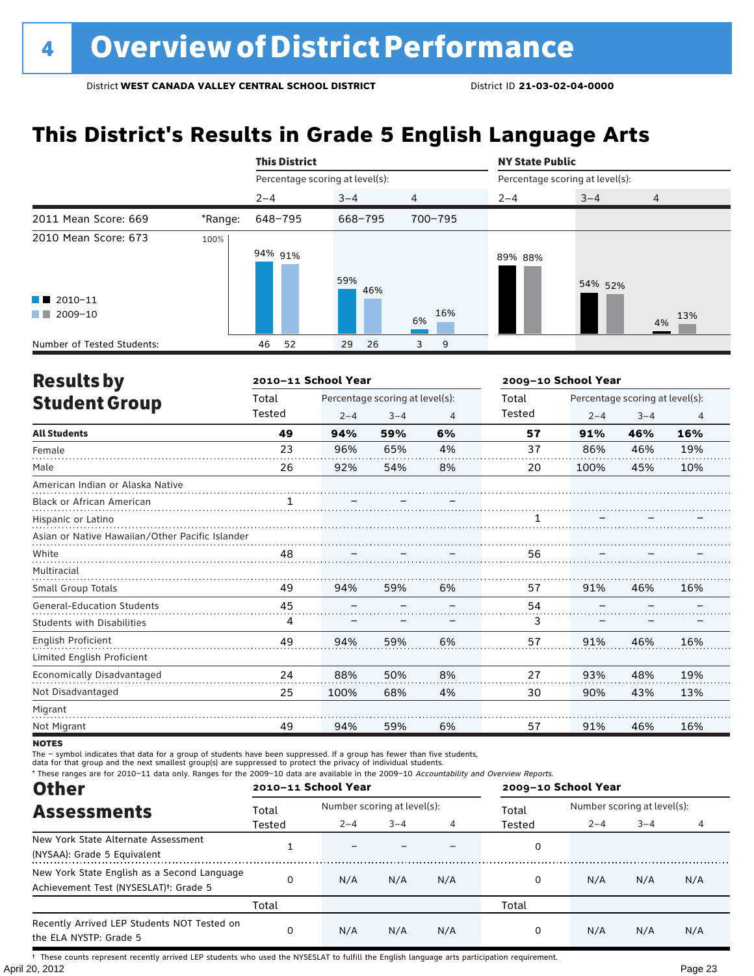### **This District's Results in Grade 5 English Language Arts**

|                                                                          |         | <b>This District</b>            |            |                | <b>NY State Public</b> |                                 |                |  |  |
|--------------------------------------------------------------------------|---------|---------------------------------|------------|----------------|------------------------|---------------------------------|----------------|--|--|
|                                                                          |         | Percentage scoring at level(s): |            |                |                        | Percentage scoring at level(s): |                |  |  |
|                                                                          |         | $2 - 4$                         | $3 - 4$    | $\overline{4}$ | $2 - 4$                | $3 - 4$                         | $\overline{4}$ |  |  |
| 2011 Mean Score: 669                                                     | *Range: | 648-795                         | 668-795    | 700-795        |                        |                                 |                |  |  |
| 2010 Mean Score: 673<br>$\blacksquare$ 2010-11<br>2009-10<br>a kacamatan | 100%    | 94% 91%                         | 59%<br>46% | 16%<br>6%      | 89% 88%                | 54% 52%                         | 13%<br>4%      |  |  |
| Number of Tested Students:                                               |         | 52<br>46                        | 26<br>29   | 3<br>9         |                        |                                 |                |  |  |

| <b>Results by</b>                               |              | 2010-11 School Year |                                 |    | 2009-10 School Year |                                 |         |                |  |  |
|-------------------------------------------------|--------------|---------------------|---------------------------------|----|---------------------|---------------------------------|---------|----------------|--|--|
| <b>Student Group</b>                            | Total        |                     | Percentage scoring at level(s): |    | Total               | Percentage scoring at level(s): |         |                |  |  |
|                                                 | Tested       | $2 - 4$             | $3 - 4$                         | 4  | <b>Tested</b>       | $2 - 4$                         | $3 - 4$ | $\overline{4}$ |  |  |
| <b>All Students</b>                             | 49           | 94%                 | 59%                             | 6% | 57                  | 91%                             | 46%     | 16%            |  |  |
| Female                                          | 23           | 96%                 | 65%                             | 4% | 37                  | 86%                             | 46%     | 19%            |  |  |
| Male                                            | 26           | 92%                 | 54%                             | 8% | 20                  | 100%                            | 45%     | 10%            |  |  |
| American Indian or Alaska Native                |              |                     |                                 |    |                     |                                 |         |                |  |  |
| <b>Black or African American</b>                | $\mathbf{1}$ |                     |                                 |    |                     |                                 |         |                |  |  |
| Hispanic or Latino                              |              |                     |                                 |    |                     |                                 |         |                |  |  |
| Asian or Native Hawaiian/Other Pacific Islander |              |                     |                                 |    |                     |                                 |         |                |  |  |
| White                                           | 48           |                     |                                 |    | 56                  |                                 |         |                |  |  |
| Multiracial                                     |              |                     |                                 |    |                     |                                 |         |                |  |  |
| Small Group Totals                              | 49           | 94%                 | 59%                             | 6% | 57                  | 91%                             | 46%     | 16%            |  |  |
| <b>General-Education Students</b>               | 45           |                     |                                 |    | 54                  |                                 |         |                |  |  |
| <b>Students with Disabilities</b>               | 4            |                     |                                 |    | 3                   |                                 |         |                |  |  |
| English Proficient                              | 49           | 94%                 | 59%                             | 6% | 57                  | 91%                             | 46%     | 16%            |  |  |
| Limited English Proficient                      |              |                     |                                 |    |                     |                                 |         |                |  |  |
| Economically Disadvantaged                      | 24           | 88%                 | 50%                             | 8% | 27                  | 93%                             | 48%     | 19%            |  |  |
| Not Disadvantaged                               | 25           | 100%                | 68%                             | 4% | 30                  | 90%                             | 43%     | 13%            |  |  |
| Migrant                                         |              |                     |                                 |    |                     |                                 |         |                |  |  |
| Not Migrant                                     | 49           | 94%                 | 59%                             | 6% | 57                  | 91%                             | 46%     | 16%            |  |  |

**NOTES** 

The – symbol indicates that data for a group of students have been suppressed. If a group has fewer than five students,

data for that group and the next smallest group(s) are suppressed to protect the privacy of individual students.

\* These ranges are for 2010–11 data only. Ranges for the 2009–10 data are available in the 2009–10 Accountability and Overview Reports.

| <b>Other</b>                                                                                      | 2010-11 School Year |                             |         |     | 2009-10 School Year |                             |         |     |
|---------------------------------------------------------------------------------------------------|---------------------|-----------------------------|---------|-----|---------------------|-----------------------------|---------|-----|
| <b>Assessments</b>                                                                                | Total               | Number scoring at level(s): |         |     | Total               | Number scoring at level(s): |         |     |
|                                                                                                   | Tested              | $2 - 4$                     | $3 - 4$ |     | Tested              | $2 - 4$                     | $3 - 4$ |     |
| New York State Alternate Assessment<br>(NYSAA): Grade 5 Equivalent                                |                     |                             |         |     | 0                   |                             |         |     |
| New York State English as a Second Language<br>Achievement Test (NYSESLAT) <sup>t</sup> : Grade 5 |                     | N/A                         | N/A     | N/A | 0                   | N/A                         | N/A     | N/A |
|                                                                                                   | Total               |                             |         |     | Total               |                             |         |     |
| Recently Arrived LEP Students NOT Tested on<br>the ELA NYSTP: Grade 5                             |                     | N/A                         | N/A     | N/A | 0                   | N/A                         | N/A     | N/A |

April 20, 2012 Page 23 † These counts represent recently arrived LEP students who used the NYSESLAT to fulfill the English language arts participation requirement.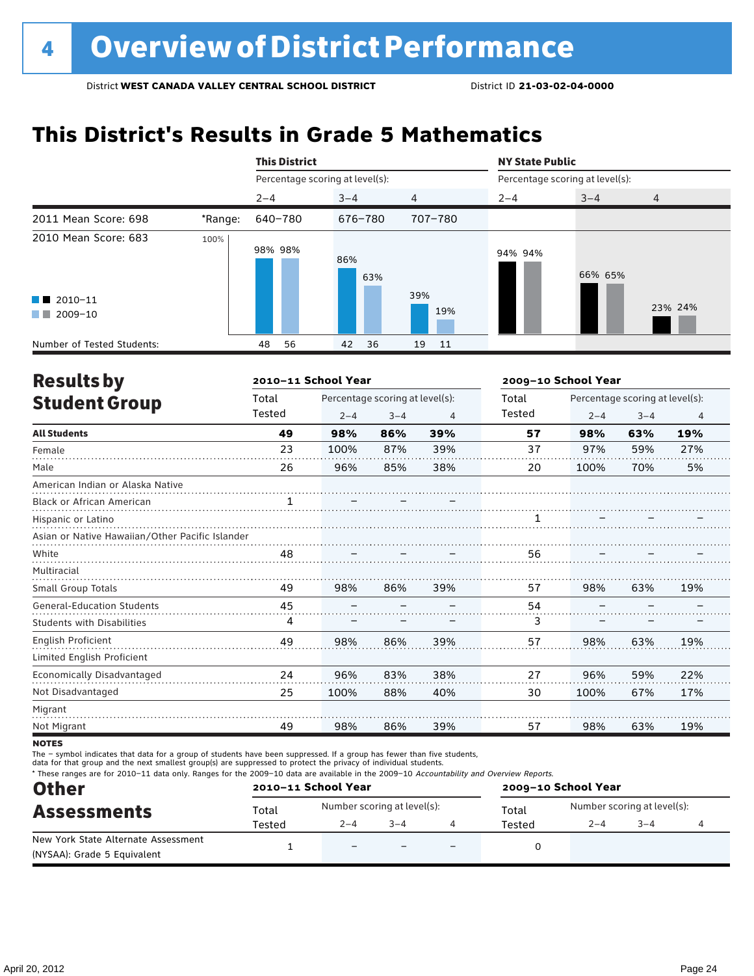# **This District's Results in Grade 5 Mathematics**

|                                                                                                                                                                                                                                                 |         | <b>This District</b>            |            |          |                                 | <b>NY State Public</b> |         |  |  |
|-------------------------------------------------------------------------------------------------------------------------------------------------------------------------------------------------------------------------------------------------|---------|---------------------------------|------------|----------|---------------------------------|------------------------|---------|--|--|
|                                                                                                                                                                                                                                                 |         | Percentage scoring at level(s): |            |          | Percentage scoring at level(s): |                        |         |  |  |
|                                                                                                                                                                                                                                                 |         | $2 - 4$                         | $3 - 4$    | 4        | $2 - 4$                         | $3 - 4$                | 4       |  |  |
| 2011 Mean Score: 698                                                                                                                                                                                                                            | *Range: | 640-780                         | 676-780    | 707-780  |                                 |                        |         |  |  |
| 2010 Mean Score: 683<br>$\blacksquare$ 2010-11                                                                                                                                                                                                  | 100%    | 98% 98%                         | 86%<br>63% | 39%      | 94% 94%                         | 66% 65%                |         |  |  |
| 2009-10<br><b>The Contract of the Contract of the Contract of the Contract of the Contract of the Contract of the Contract of the Contract of the Contract of the Contract of the Contract of the Contract of The Contract of The Contract </b> |         |                                 |            | 19%      |                                 |                        | 23% 24% |  |  |
| Number of Tested Students:                                                                                                                                                                                                                      |         | 56<br>48                        | 36<br>42   | 19<br>11 |                                 |                        |         |  |  |

| <b>Results by</b>                               |        | 2010-11 School Year |                                 |     | 2009-10 School Year |                                 |         |                |
|-------------------------------------------------|--------|---------------------|---------------------------------|-----|---------------------|---------------------------------|---------|----------------|
| <b>Student Group</b>                            | Total  |                     | Percentage scoring at level(s): |     | Total               | Percentage scoring at level(s): |         |                |
|                                                 | Tested | $2 - 4$             | $3 - 4$                         | 4   | Tested              | $2 - 4$                         | $3 - 4$ | $\overline{4}$ |
| <b>All Students</b>                             | 49     | 98%                 | 86%                             | 39% | 57                  | 98%                             | 63%     | 19%            |
| Female                                          | 23     | 100%                | 87%                             | 39% | 37                  | 97%                             | 59%     | 27%            |
| Male                                            | 26     | 96%                 | 85%                             | 38% | 20                  | 100%                            | 70%     | 5%             |
| American Indian or Alaska Native                |        |                     |                                 |     |                     |                                 |         |                |
| Black or African American                       |        |                     |                                 |     |                     |                                 |         |                |
| Hispanic or Latino                              |        |                     |                                 |     |                     |                                 |         |                |
| Asian or Native Hawaiian/Other Pacific Islander |        |                     |                                 |     |                     |                                 |         |                |
| White                                           | 48     |                     |                                 |     | 56                  |                                 |         |                |
| Multiracial                                     |        |                     |                                 |     |                     |                                 |         |                |
| Small Group Totals                              | 49     | 98%                 | 86%                             | 39% | 57                  | 98%                             | 63%     | 19%            |
| <b>General-Education Students</b>               | 45     |                     |                                 |     | 54                  |                                 |         |                |
| <b>Students with Disabilities</b>               | 4      |                     |                                 |     | 3                   |                                 |         |                |
| English Proficient                              | 49     | 98%                 | 86%                             | 39% | 57                  | 98%                             | 63%     | 19%            |
| Limited English Proficient                      |        |                     |                                 |     |                     |                                 |         |                |
| Economically Disadvantaged                      | 24     | 96%                 | 83%                             | 38% | 27                  | 96%                             | 59%     | 22%            |
| Not Disadvantaged                               | 25     | 100%                | 88%                             | 40% | 30                  | 100%                            | 67%     | 17%            |
| Migrant                                         |        |                     |                                 |     |                     |                                 |         |                |
| Not Migrant                                     | 49     | 98%                 | 86%                             | 39% | 57                  | 98%                             | 63%     | 19%            |

**NOTES** 

The – symbol indicates that data for a group of students have been suppressed. If a group has fewer than five students,<br>data for that group and the next smallest group(s) are suppressed to protect the privacy of individual

\* These ranges are for 2010–11 data only. Ranges for the 2009–10 data are available in the 2009–10 Accountability and Overview Reports.

| <b>Other</b>                        | 2010-11 School Year |                             |         |                          | 2009-10 School Year |                             |         |  |  |
|-------------------------------------|---------------------|-----------------------------|---------|--------------------------|---------------------|-----------------------------|---------|--|--|
| <b>Assessments</b>                  | Total               | Number scoring at level(s): |         |                          | Total               | Number scoring at level(s): |         |  |  |
|                                     | Tested              | $2 - 4$                     | $3 - 4$ |                          | Tested              | $2 - 4$                     | $3 - 4$ |  |  |
| New York State Alternate Assessment |                     | $\overline{\phantom{0}}$    |         | $\overline{\phantom{0}}$ |                     |                             |         |  |  |
| (NYSAA): Grade 5 Equivalent         |                     |                             |         |                          |                     |                             |         |  |  |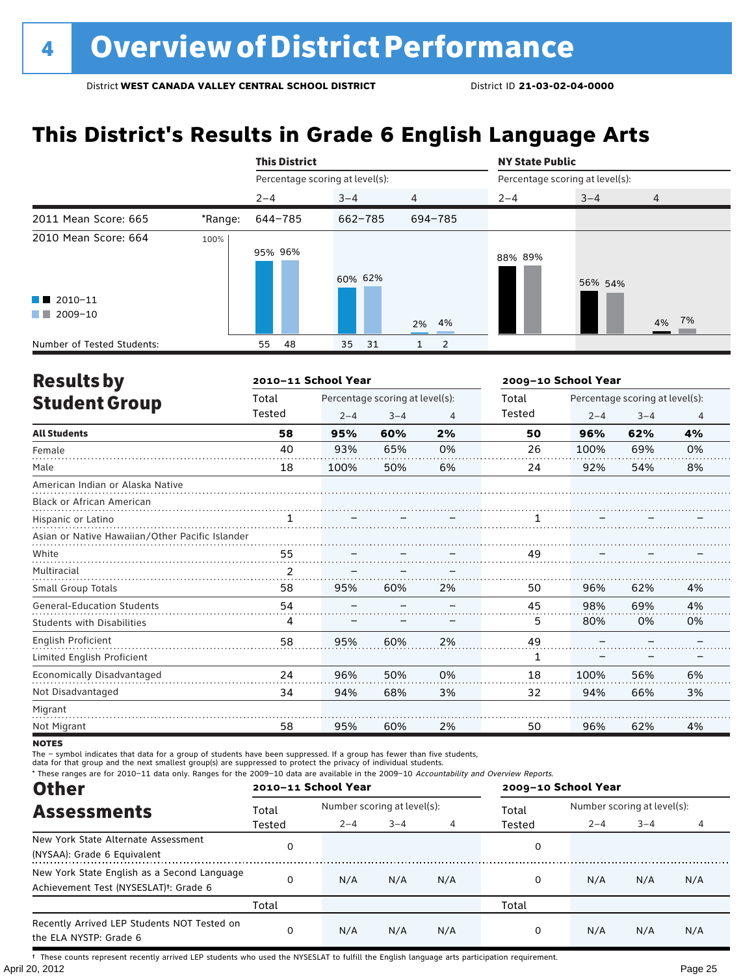### **This District's Results in Grade 6 English Language Arts**

|                                                                      |         | <b>This District</b>            |           |                |                                 | <b>NY State Public</b> |                |  |  |
|----------------------------------------------------------------------|---------|---------------------------------|-----------|----------------|---------------------------------|------------------------|----------------|--|--|
|                                                                      |         | Percentage scoring at level(s): |           |                | Percentage scoring at level(s): |                        |                |  |  |
|                                                                      |         | $2 - 4$                         | $3 - 4$   | $\overline{4}$ | $2 - 4$                         | $3 - 4$                | $\overline{4}$ |  |  |
| 2011 Mean Score: 665                                                 | *Range: | 644-785                         | 662-785   | 694-785        |                                 |                        |                |  |  |
| 2010 Mean Score: 664<br>$\blacksquare$ 2010-11<br>2009-10<br>and the | 100%    | 95% 96%                         | 60% 62%   | 2% 4%          | 88% 89%                         | 56% 54%                | 4% 7%          |  |  |
| Number of Tested Students:                                           |         | 48<br>55                        | 35<br>-31 | 2              |                                 |                        |                |  |  |

| <b>Results by</b>                               |        | 2010-11 School Year |                                 |    | 2009-10 School Year |                                 |         |                |  |  |
|-------------------------------------------------|--------|---------------------|---------------------------------|----|---------------------|---------------------------------|---------|----------------|--|--|
| <b>Student Group</b>                            | Total  |                     | Percentage scoring at level(s): |    | Total               | Percentage scoring at level(s): |         |                |  |  |
|                                                 | Tested | $2 - 4$             | $3 - 4$                         | 4  | Tested              | $2 - 4$                         | $3 - 4$ | $\overline{4}$ |  |  |
| <b>All Students</b>                             | 58     | 95%                 | 60%                             | 2% | 50                  | 96%                             | 62%     | 4%             |  |  |
| Female                                          | 40     | 93%                 | 65%                             | 0% | 26                  | 100%                            | 69%     | 0%             |  |  |
| Male                                            | 18     | 100%                | 50%                             | 6% | 24                  | 92%                             | 54%     | 8%             |  |  |
| American Indian or Alaska Native                |        |                     |                                 |    |                     |                                 |         |                |  |  |
| <b>Black or African American</b>                |        |                     |                                 |    |                     |                                 |         |                |  |  |
| Hispanic or Latino                              | 1      |                     |                                 |    |                     |                                 |         |                |  |  |
| Asian or Native Hawaiian/Other Pacific Islander |        |                     |                                 |    |                     |                                 |         |                |  |  |
| White                                           | 55     |                     |                                 |    | 49                  |                                 |         |                |  |  |
| Multiracial                                     | 2      |                     |                                 |    |                     |                                 |         |                |  |  |
| <b>Small Group Totals</b>                       | 58     | 95%                 | 60%                             | 2% | 50                  | 96%                             | 62%     | 4%             |  |  |
| <b>General-Education Students</b>               | 54     |                     |                                 |    | 45                  | 98%                             | 69%     | 4%             |  |  |
| <b>Students with Disabilities</b>               | 4      |                     |                                 |    | 5                   | 80%                             | 0%      | 0%             |  |  |
| English Proficient                              | 58     | 95%                 | 60%                             | 2% | 49                  |                                 |         |                |  |  |
| Limited English Proficient                      |        |                     |                                 |    | 1                   |                                 |         |                |  |  |
| Economically Disadvantaged                      | 24     | 96%                 | 50%                             | 0% | 18                  | 100%                            | 56%     | 6%             |  |  |
| Not Disadvantaged                               | 34     | 94%                 | 68%                             | 3% | 32                  | 94%                             | 66%     | 3%             |  |  |
| Migrant                                         |        |                     |                                 |    |                     |                                 |         |                |  |  |
| Not Migrant                                     | 58     | 95%                 | 60%                             | 2% | 50                  | 96%                             | 62%     | 4%             |  |  |

**NOTES** 

The – symbol indicates that data for a group of students have been suppressed. If a group has fewer than five students,

data for that group and the next smallest group(s) are suppressed to protect the privacy of individual students.

\* These ranges are for 2010–11 data only. Ranges for the 2009–10 data are available in the 2009–10 Accountability and Overview Reports.

| <b>Other</b>                                                                                      | 2010-11 School Year |                             |         |     | 2009-10 School Year |                             |         |     |
|---------------------------------------------------------------------------------------------------|---------------------|-----------------------------|---------|-----|---------------------|-----------------------------|---------|-----|
| <b>Assessments</b>                                                                                | Total               | Number scoring at level(s): |         |     | Total               | Number scoring at level(s): |         |     |
|                                                                                                   | Tested              | $2 - 4$                     | $3 - 4$ |     | Tested              | $2 - 4$                     | $3 - 4$ |     |
| New York State Alternate Assessment<br>(NYSAA): Grade 6 Equivalent                                |                     |                             |         |     | 0                   |                             |         |     |
| New York State English as a Second Language<br>Achievement Test (NYSESLAT) <sup>†</sup> : Grade 6 |                     | N/A                         | N/A     | N/A | 0                   | N/A                         | N/A     | N/A |
|                                                                                                   | Total               |                             |         |     | Total               |                             |         |     |
| Recently Arrived LEP Students NOT Tested on<br>the ELA NYSTP: Grade 6                             |                     | N/A                         | N/A     | N/A | 0                   | N/A                         | N/A     | N/A |

April 20, 2012 Page 25 † These counts represent recently arrived LEP students who used the NYSESLAT to fulfill the English language arts participation requirement.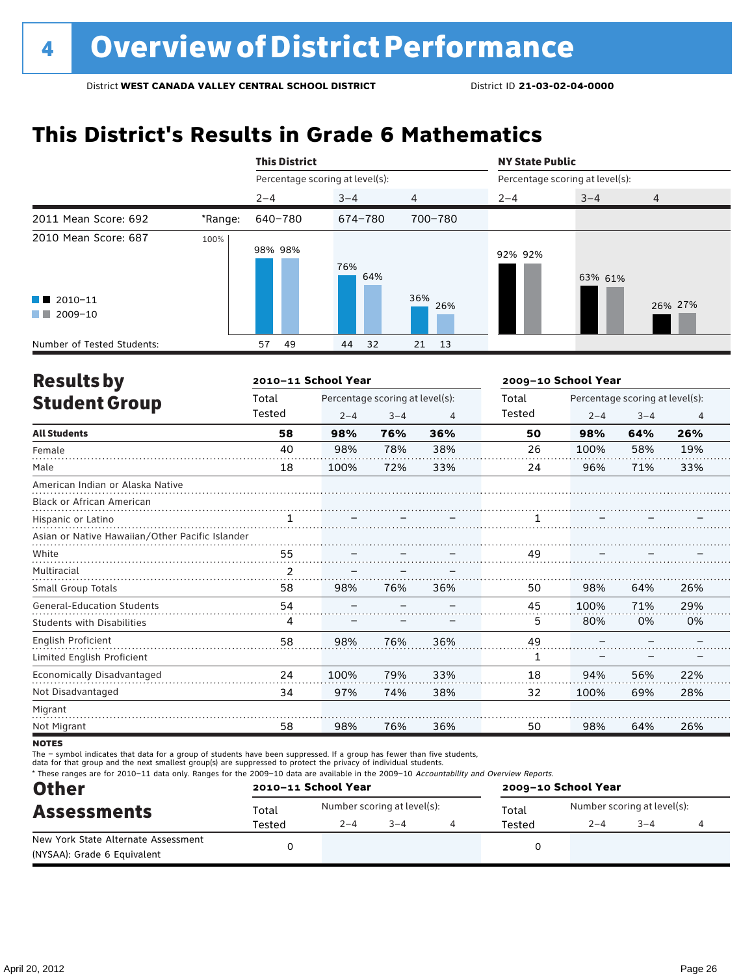# **This District's Results in Grade 6 Mathematics**

|                                                  |         | <b>This District</b>            |            |                |                                 |         |                |  |
|--------------------------------------------------|---------|---------------------------------|------------|----------------|---------------------------------|---------|----------------|--|
|                                                  |         | Percentage scoring at level(s): |            |                | Percentage scoring at level(s): |         |                |  |
|                                                  |         | $2 - 4$                         | $3 - 4$    | $\overline{4}$ | $2 - 4$                         | $3 - 4$ | $\overline{4}$ |  |
| 2011 Mean Score: 692                             | *Range: | 640-780                         | 674-780    | 700-780        |                                 |         |                |  |
| 2010 Mean Score: 687                             | 100%    | 98% 98%                         | 76%<br>64% |                | 92% 92%                         | 63% 61% |                |  |
| $\blacksquare$ 2010-11<br>2009-10<br>a kacamatan |         |                                 |            | 36%<br>26%     |                                 |         | 26% 27%        |  |
| Number of Tested Students:                       |         | 49<br>57                        | 32<br>44   | 21<br>13       |                                 |         |                |  |

| <b>Results by</b>                               |              | 2010-11 School Year |                                 |                | 2009-10 School Year |         |                                 |                |
|-------------------------------------------------|--------------|---------------------|---------------------------------|----------------|---------------------|---------|---------------------------------|----------------|
| <b>Student Group</b>                            | Total        |                     | Percentage scoring at level(s): |                | Total               |         | Percentage scoring at level(s): |                |
|                                                 | Tested       | $2 - 4$             | $3 - 4$                         | $\overline{4}$ | Tested              | $2 - 4$ | $3 - 4$                         | $\overline{4}$ |
| <b>All Students</b>                             | 58           | 98%                 | 76%                             | 36%            | 50                  | 98%     | 64%                             | 26%            |
| Female                                          | 40           | 98%                 | 78%                             | 38%            | 26                  | 100%    | 58%                             | 19%            |
| Male                                            | 18           | 100%                | 72%                             | 33%            | 24                  | 96%     | 71%                             | 33%            |
| American Indian or Alaska Native                |              |                     |                                 |                |                     |         |                                 |                |
| <b>Black or African American</b>                |              |                     |                                 |                |                     |         |                                 |                |
| Hispanic or Latino                              | $\mathbf{1}$ |                     |                                 |                |                     |         |                                 |                |
| Asian or Native Hawaiian/Other Pacific Islander |              |                     |                                 |                |                     |         |                                 |                |
| White                                           | 55           |                     |                                 |                | 49                  |         |                                 |                |
| Multiracial                                     | 2            |                     |                                 |                |                     |         |                                 |                |
| Small Group Totals                              | 58           | 98%                 | 76%                             | 36%            | 50                  | 98%     | 64%                             | 26%            |
| <b>General-Education Students</b>               | 54           |                     |                                 |                | 45                  | 100%    | 71%                             | 29%            |
| <b>Students with Disabilities</b>               | 4            |                     |                                 |                | 5                   | 80%     | 0%                              | 0%             |
| English Proficient                              | 58           | 98%                 | 76%                             | 36%            | 49                  |         |                                 |                |
| Limited English Proficient                      |              |                     |                                 |                | 1                   |         |                                 |                |
| Economically Disadvantaged                      | 24           | 100%                | 79%                             | 33%            | 18                  | 94%     | 56%                             | 22%            |
| Not Disadvantaged                               | 34           | 97%                 | 74%                             | 38%            | 32                  | 100%    | 69%                             | 28%            |
| Migrant                                         |              |                     |                                 |                |                     |         |                                 |                |
| Not Migrant                                     | 58           | 98%                 | 76%                             | 36%            | 50                  | 98%     | 64%                             | 26%            |

**NOTES** 

The – symbol indicates that data for a group of students have been suppressed. If a group has fewer than five students,

data for that group and the next smallest group(s) are suppressed to protect the privacy of individual students.

\* These ranges are for 2010–11 data only. Ranges for the 2009–10 data are available in the 2009–10 Accountability and Overview Reports.

| <b>Other</b>                                                       |        | 2010-11 School Year |                             | 2009-10 School Year |                             |         |  |  |
|--------------------------------------------------------------------|--------|---------------------|-----------------------------|---------------------|-----------------------------|---------|--|--|
| <b>Assessments</b>                                                 | Total  |                     | Number scoring at level(s): | Total               | Number scoring at level(s): |         |  |  |
|                                                                    | Tested | $2 - 4$             | $3 - 4$                     | Tested              | $2 - 4$                     | $3 - 4$ |  |  |
| New York State Alternate Assessment<br>(NYSAA): Grade 6 Equivalent |        |                     |                             |                     |                             |         |  |  |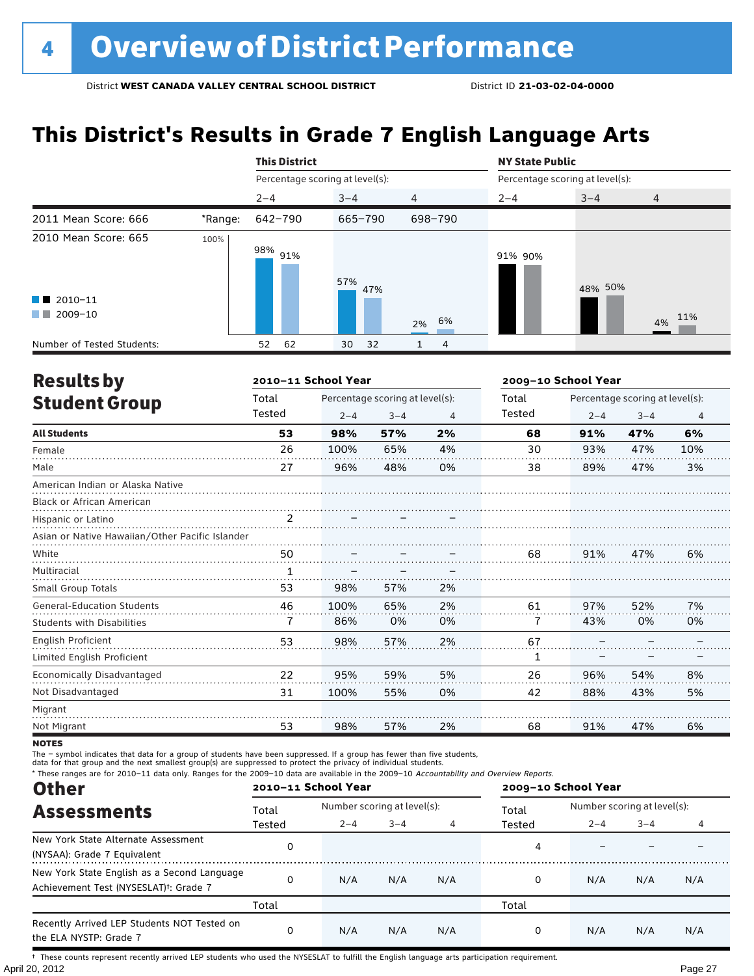### **This District's Results in Grade 7 English Language Arts**

|                                                                          |         | <b>This District</b>            |            |                | <b>NY State Public</b>          |         |        |
|--------------------------------------------------------------------------|---------|---------------------------------|------------|----------------|---------------------------------|---------|--------|
|                                                                          |         | Percentage scoring at level(s): |            |                | Percentage scoring at level(s): |         |        |
|                                                                          |         | $2 - 4$                         | $3 - 4$    | $\overline{4}$ | $2 - 4$                         | $3 - 4$ | 4      |
| 2011 Mean Score: 666                                                     | *Range: | 642-790                         | 665-790    | 698-790        |                                 |         |        |
| 2010 Mean Score: 665<br>$\blacksquare$ 2010-11<br>2009-10<br>a kacamatan | 100%    | 98% 91%                         | 57%<br>47% | 6%<br>2%       | 91% 90%                         | 48% 50% | 4% 11% |
| Number of Tested Students:                                               |         | 62<br>52                        | 30<br>32   | 4              |                                 |         |        |

| <b>Results by</b>                               |                | 2010-11 School Year |                                 | 2009-10 School Year |               |         |                                 |                |
|-------------------------------------------------|----------------|---------------------|---------------------------------|---------------------|---------------|---------|---------------------------------|----------------|
| <b>Student Group</b>                            | Total          |                     | Percentage scoring at level(s): |                     | Total         |         | Percentage scoring at level(s): |                |
|                                                 | Tested         | $2 - 4$             | $3 - 4$                         | 4                   | <b>Tested</b> | $2 - 4$ | $3 - 4$                         | $\overline{4}$ |
| <b>All Students</b>                             | 53             | 98%                 | 57%                             | 2%                  | 68            | 91%     | 47%                             | 6%             |
| Female                                          | 26             | 100%                | 65%                             | 4%                  | 30            | 93%     | 47%                             | 10%            |
| Male                                            | 27             | 96%                 | 48%                             | 0%                  | 38            | 89%     | 47%                             | 3%             |
| American Indian or Alaska Native                |                |                     |                                 |                     |               |         |                                 |                |
| <b>Black or African American</b>                |                |                     |                                 |                     |               |         |                                 |                |
| Hispanic or Latino                              | $\overline{2}$ |                     |                                 |                     |               |         |                                 |                |
| Asian or Native Hawaiian/Other Pacific Islander |                |                     |                                 |                     |               |         |                                 |                |
| White                                           | 50             |                     |                                 |                     | 68            | 91%     | 47%                             | 6%             |
| Multiracial                                     |                |                     |                                 |                     |               |         |                                 |                |
| Small Group Totals                              | 53             | 98%                 | 57%                             | 2%                  |               |         |                                 |                |
| <b>General-Education Students</b>               | 46             | 100%                | 65%                             | 2%                  | 61            | 97%     | 52%                             | 7%             |
| Students with Disabilities                      | 7              | 86%                 | 0%                              | 0%                  | 7             | 43%     | 0%                              | 0%             |
| <b>English Proficient</b>                       | 53             | 98%                 | 57%                             | 2%                  | 67            |         |                                 |                |
| Limited English Proficient                      |                |                     |                                 |                     | 1             |         |                                 |                |
| Economically Disadvantaged                      | 22             | 95%                 | 59%                             | 5%                  | 26            | 96%     | 54%                             | 8%             |
| Not Disadvantaged                               | 31             | 100%                | 55%                             | 0%                  | 42            | 88%     | 43%                             | 5%             |
| Migrant                                         |                |                     |                                 |                     |               |         |                                 |                |
| Not Migrant                                     | 53             | 98%                 | 57%                             | 2%                  | 68            | 91%     | 47%                             | 6%             |

**NOTES** 

The – symbol indicates that data for a group of students have been suppressed. If a group has fewer than five students,

data for that group and the next smallest group(s) are suppressed to protect the privacy of individual students.

\* These ranges are for 2010–11 data only. Ranges for the 2009–10 data are available in the 2009–10 Accountability and Overview Reports.

| <b>Other</b>                                                                                      |              | 2010-11 School Year |                             |     | 2009-10 School Year |                             |         |     |  |
|---------------------------------------------------------------------------------------------------|--------------|---------------------|-----------------------------|-----|---------------------|-----------------------------|---------|-----|--|
| <b>Assessments</b>                                                                                | Total        |                     | Number scoring at level(s): |     |                     | Number scoring at level(s): |         |     |  |
|                                                                                                   | Tested       | $2 - 4$             | $3 - 4$                     |     | Tested              | $2 - 4$                     | $3 - 4$ |     |  |
| New York State Alternate Assessment<br>(NYSAA): Grade 7 Equivalent                                |              |                     |                             |     | 4                   |                             |         |     |  |
| New York State English as a Second Language<br>Achievement Test (NYSESLAT) <sup>+</sup> : Grade 7 |              | N/A                 | N/A                         | N/A | 0                   | N/A                         | N/A     | N/A |  |
|                                                                                                   | Total        |                     |                             |     | Total               |                             |         |     |  |
| Recently Arrived LEP Students NOT Tested on<br>the ELA NYSTP: Grade 7                             | <sup>0</sup> | N/A                 | N/A                         | N/A | 0                   | N/A                         | N/A     | N/A |  |

April 20, 2012 Page 27 † These counts represent recently arrived LEP students who used the NYSESLAT to fulfill the English language arts participation requirement.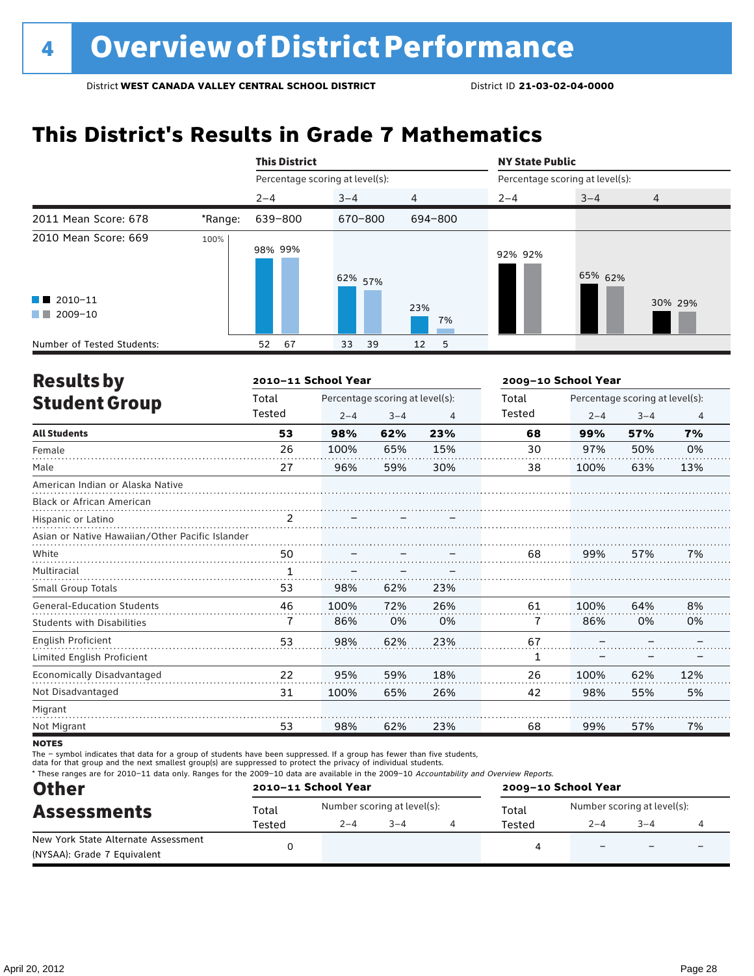# **This District's Results in Grade 7 Mathematics**

|                                                |         | <b>This District</b>            |          |                      | <b>NY State Public</b>          |         |                |  |
|------------------------------------------------|---------|---------------------------------|----------|----------------------|---------------------------------|---------|----------------|--|
|                                                |         | Percentage scoring at level(s): |          |                      | Percentage scoring at level(s): |         |                |  |
|                                                |         | $2 - 4$                         | $3 - 4$  | $\overline{4}$       | $2 - 4$                         | $3 - 4$ | $\overline{4}$ |  |
| 2011 Mean Score: 678                           | *Range: | 639-800                         | 670-800  | 694-800              |                                 |         |                |  |
| 2010 Mean Score: 669<br>$\blacksquare$ 2010-11 | 100%    | 98% 99%                         | 62% 57%  |                      | 92% 92%                         | 65% 62% |                |  |
| 2009-10<br>a kacamatan                         |         |                                 |          | 23%<br>7%            |                                 |         | 30% 29%        |  |
| Number of Tested Students:                     |         | 67<br>52                        | 33<br>39 | 12 <sup>2</sup><br>5 |                                 |         |                |  |

| <b>Results by</b>                               |                | 2010-11 School Year |                                 |     | 2009-10 School Year |         |                                 |                |
|-------------------------------------------------|----------------|---------------------|---------------------------------|-----|---------------------|---------|---------------------------------|----------------|
| <b>Student Group</b>                            | Total          |                     | Percentage scoring at level(s): |     | Total               |         | Percentage scoring at level(s): |                |
|                                                 | Tested         | $2 - 4$             | $3 - 4$                         | 4   | Tested              | $2 - 4$ | $3 - 4$                         | $\overline{4}$ |
| <b>All Students</b>                             | 53             | 98%                 | 62%                             | 23% | 68                  | 99%     | 57%                             | 7%             |
| Female                                          | 26             | 100%                | 65%                             | 15% | 30                  | 97%     | 50%                             | 0%             |
| Male                                            | 27             | 96%                 | 59%                             | 30% | 38                  | 100%    | 63%                             | 13%            |
| American Indian or Alaska Native                |                |                     |                                 |     |                     |         |                                 |                |
| Black or African American                       |                |                     |                                 |     |                     |         |                                 |                |
| Hispanic or Latino                              | $\overline{2}$ |                     |                                 |     |                     |         |                                 |                |
| Asian or Native Hawaiian/Other Pacific Islander |                |                     |                                 |     |                     |         |                                 |                |
| White                                           | 50             |                     |                                 |     | 68                  | 99%     | 57%                             | 7%             |
| Multiracial                                     | $\mathbf{1}$   |                     |                                 |     |                     |         |                                 |                |
| Small Group Totals                              | 53             | 98%                 | 62%                             | 23% |                     |         |                                 |                |
| <b>General-Education Students</b>               | 46             | 100%                | 72%                             | 26% | 61                  | 100%    | 64%                             | 8%             |
| <b>Students with Disabilities</b>               | 7              | 86%                 | 0%                              | 0%  | 7                   | 86%     | 0%                              | 0%             |
| English Proficient                              | 53             | 98%                 | 62%                             | 23% | 67                  |         |                                 |                |
| Limited English Proficient                      |                |                     |                                 |     | 1                   |         |                                 |                |
| Economically Disadvantaged                      | 22             | 95%                 | 59%                             | 18% | 26                  | 100%    | 62%                             | 12%            |
| Not Disadvantaged                               | 31             | 100%                | 65%                             | 26% | 42                  | 98%     | 55%                             | 5%             |
| Migrant                                         |                |                     |                                 |     |                     |         |                                 |                |
| Not Migrant                                     | 53             | 98%                 | 62%                             | 23% | 68                  | 99%     | 57%                             | 7%             |
|                                                 |                |                     |                                 |     |                     |         |                                 |                |

**NOTES** 

The – symbol indicates that data for a group of students have been suppressed. If a group has fewer than five students,

data for that group and the next smallest group(s) are suppressed to protect the privacy of individual students.

\* These ranges are for 2010–11 data only. Ranges for the 2009–10 data are available in the 2009–10 Accountability and Overview Reports.

| <b>Other</b>                        |        | 2010-11 School Year |                             | 2009-10 School Year |                             |        |  |  |
|-------------------------------------|--------|---------------------|-----------------------------|---------------------|-----------------------------|--------|--|--|
| <b>Assessments</b>                  | Total  |                     | Number scoring at level(s): | Total               | Number scoring at level(s): |        |  |  |
|                                     | Tested | $2 - 4$             | $3 - 4$                     | Tested              | $2 - 4$                     | $-3-4$ |  |  |
| New York State Alternate Assessment |        |                     |                             | Δ                   |                             |        |  |  |
| (NYSAA): Grade 7 Equivalent         |        |                     |                             |                     |                             |        |  |  |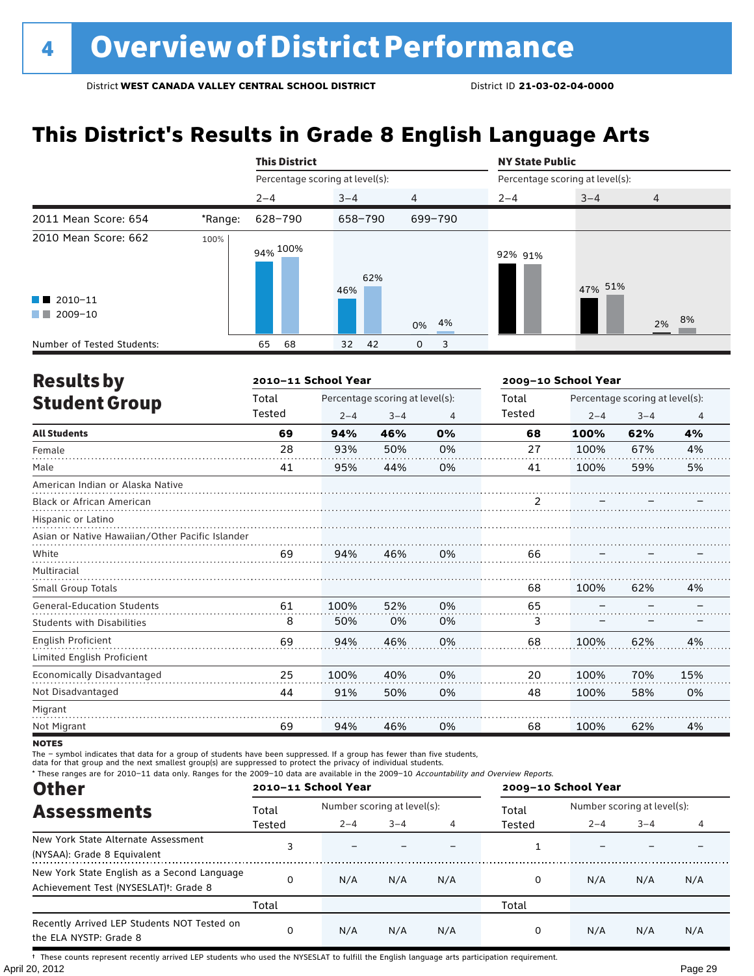### **This District's Results in Grade 8 English Language Arts**

|                                                                          |         | <b>This District</b>            |            |                | <b>NY State Public</b>          |         |                |  |
|--------------------------------------------------------------------------|---------|---------------------------------|------------|----------------|---------------------------------|---------|----------------|--|
|                                                                          |         | Percentage scoring at level(s): |            |                | Percentage scoring at level(s): |         |                |  |
|                                                                          |         | $2 - 4$                         | $3 - 4$    | $\overline{4}$ | $2 - 4$                         | $3 - 4$ | $\overline{4}$ |  |
| 2011 Mean Score: 654                                                     | *Range: | 628-790                         | 658-790    | 699-790        |                                 |         |                |  |
| 2010 Mean Score: 662<br>$\blacksquare$ 2010-11<br>2009-10<br>a kacamatan | 100%    | 94% 100%                        | 62%<br>46% | 4%<br>0%       | 92% 91%                         | 47% 51% | 2% 8%          |  |
| Number of Tested Students:                                               |         | 68<br>65                        | 32<br>42   | 3<br>0         |                                 |         |                |  |

| <b>Results by</b>                               |        | 2010-11 School Year |                                 |                | 2009-10 School Year |         |                                 |     |  |
|-------------------------------------------------|--------|---------------------|---------------------------------|----------------|---------------------|---------|---------------------------------|-----|--|
| <b>Student Group</b>                            | Total  |                     | Percentage scoring at level(s): |                | Total               |         | Percentage scoring at level(s): |     |  |
|                                                 | Tested | $2 - 4$             | $3 - 4$                         | $\overline{4}$ | Tested              | $2 - 4$ | $3 - 4$                         | 4   |  |
| <b>All Students</b>                             | 69     | 94%                 | 46%                             | 0%             | 68                  | 100%    | 62%                             | 4%  |  |
| Female                                          | 28     | 93%                 | 50%                             | 0%             | 27                  | 100%    | 67%                             | 4%  |  |
| Male                                            | 41     | 95%                 | 44%                             | 0%             | 41                  | 100%    | 59%                             | 5%  |  |
| American Indian or Alaska Native                |        |                     |                                 |                |                     |         |                                 |     |  |
| <b>Black or African American</b>                |        |                     |                                 |                | 2                   |         |                                 |     |  |
| Hispanic or Latino                              |        |                     |                                 |                |                     |         |                                 |     |  |
| Asian or Native Hawaiian/Other Pacific Islander |        |                     |                                 |                |                     |         |                                 |     |  |
| White                                           | 69     | 94%                 | 46%                             | 0%             | 66                  |         |                                 |     |  |
| Multiracial                                     |        |                     |                                 |                |                     |         |                                 |     |  |
| <b>Small Group Totals</b>                       |        |                     |                                 |                | 68                  | 100%    | 62%                             | 4%  |  |
| <b>General-Education Students</b>               | 61     | 100%                | 52%                             | 0%             | 65                  |         |                                 |     |  |
| <b>Students with Disabilities</b>               | 8      | 50%                 | 0%                              | 0%             | 3                   |         |                                 |     |  |
| <b>English Proficient</b>                       | 69     | 94%                 | 46%                             | 0%             | 68                  | 100%    | 62%                             | 4%  |  |
| Limited English Proficient                      |        |                     |                                 |                |                     |         |                                 |     |  |
| Economically Disadvantaged                      | 25     | 100%                | 40%                             | 0%             | 20                  | 100%    | 70%                             | 15% |  |
| Not Disadvantaged                               | 44     | 91%                 | 50%                             | 0%             | 48                  | 100%    | 58%                             | 0%  |  |
| Migrant                                         |        |                     |                                 |                |                     |         |                                 |     |  |
| Not Migrant                                     | 69     | 94%                 | 46%                             | 0%             | 68                  | 100%    | 62%                             | 4%  |  |

**NOTES** 

The – symbol indicates that data for a group of students have been suppressed. If a group has fewer than five students,<br>data for that group and the next smallest group(s) are suppressed to protect the privacy of individual

\* These ranges are for 2010–11 data only. Ranges for the 2009–10 data are available in the 2009–10 Accountability and Overview Reports.

| <b>Other</b>                                                                                      |          | 2010-11 School Year |                             |     | 2009-10 School Year |                             |         |     |  |
|---------------------------------------------------------------------------------------------------|----------|---------------------|-----------------------------|-----|---------------------|-----------------------------|---------|-----|--|
| <b>Assessments</b>                                                                                | Total    |                     | Number scoring at level(s): |     |                     | Number scoring at level(s): |         |     |  |
|                                                                                                   | Tested   | $2 - 4$             | $3 - 4$                     |     | Tested              | $2 - 4$                     | $3 - 4$ |     |  |
| New York State Alternate Assessment<br>(NYSAA): Grade 8 Equivalent                                |          |                     |                             |     |                     |                             |         |     |  |
| New York State English as a Second Language<br>Achievement Test (NYSESLAT) <sup>†</sup> : Grade 8 | $\Omega$ | N/A                 | N/A                         | N/A | 0                   | N/A                         | N/A     | N/A |  |
|                                                                                                   | Total    |                     |                             |     | Total               |                             |         |     |  |
| Recently Arrived LEP Students NOT Tested on<br>the ELA NYSTP: Grade 8                             | $\Omega$ | N/A                 | N/A                         | N/A | 0                   | N/A                         | N/A     | N/A |  |

April 20, 2012 Page 29 † These counts represent recently arrived LEP students who used the NYSESLAT to fulfill the English language arts participation requirement.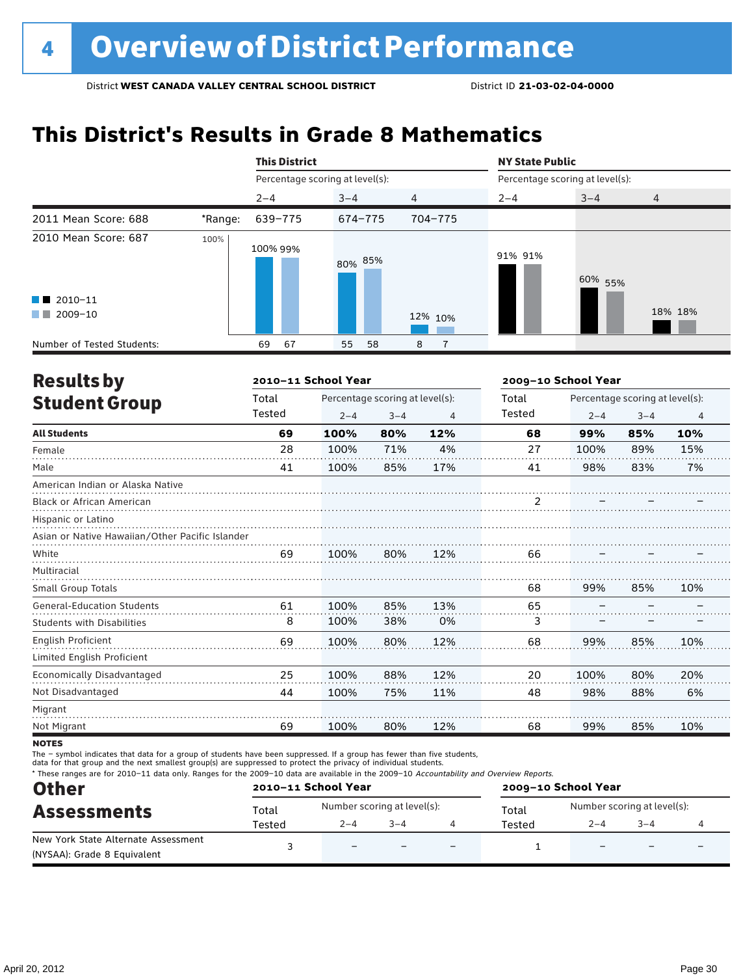# **This District's Results in Grade 8 Mathematics**

|                            |         | <b>This District</b>            |          |                     | <b>NY State Public</b> |                                 |                |  |  |
|----------------------------|---------|---------------------------------|----------|---------------------|------------------------|---------------------------------|----------------|--|--|
|                            |         | Percentage scoring at level(s): |          |                     |                        | Percentage scoring at level(s): |                |  |  |
|                            |         | $2 - 4$                         | $3 - 4$  | $\overline{4}$      | $2 - 4$                | $3 - 4$                         | $\overline{4}$ |  |  |
| 2011 Mean Score: 688       | *Range: | 639-775                         | 674-775  | 704-775             |                        |                                 |                |  |  |
| 2010 Mean Score: 687       | 100%    | 100% 99%                        | 80% 85%  |                     | 91% 91%                | 60% 55%                         |                |  |  |
| $\blacksquare$ 2010-11     |         |                                 |          |                     |                        |                                 |                |  |  |
| 2009-10<br><b>The Co</b>   |         |                                 |          | 12% 10%             |                        |                                 | 18% 18%        |  |  |
| Number of Tested Students: |         | 67<br>69                        | 55<br>58 | 8<br>$\overline{7}$ |                        |                                 |                |  |  |

| <b>Results by</b>                               |        | 2010-11 School Year             |         | 2009-10 School Year |        |                                 |         |                |  |
|-------------------------------------------------|--------|---------------------------------|---------|---------------------|--------|---------------------------------|---------|----------------|--|
| <b>Student Group</b>                            | Total  | Percentage scoring at level(s): |         |                     | Total  | Percentage scoring at level(s): |         |                |  |
|                                                 | Tested | $2 - 4$                         | $3 - 4$ | $\overline{4}$      | Tested | $2 - 4$                         | $3 - 4$ | $\overline{4}$ |  |
| <b>All Students</b>                             | 69     | 100%                            | 80%     | 12%                 | 68     | 99%                             | 85%     | 10%            |  |
| Female                                          | 28     | 100%                            | 71%     | 4%                  | 27     | 100%                            | 89%     | 15%            |  |
| Male                                            | 41     | 100%                            | 85%     | 17%                 | 41     | 98%                             | 83%     | 7%             |  |
| American Indian or Alaska Native                |        |                                 |         |                     |        |                                 |         |                |  |
| <b>Black or African American</b>                |        |                                 |         |                     | 2      |                                 |         |                |  |
| Hispanic or Latino                              |        |                                 |         |                     |        |                                 |         |                |  |
| Asian or Native Hawaiian/Other Pacific Islander |        |                                 |         |                     |        |                                 |         |                |  |
| White                                           | 69     | 100%                            | 80%     | 12%                 | 66     |                                 |         |                |  |
| Multiracial                                     |        |                                 |         |                     |        |                                 |         |                |  |
| <b>Small Group Totals</b>                       |        |                                 |         |                     | 68     | 99%                             | 85%     | 10%            |  |
| <b>General-Education Students</b>               | 61     | 100%                            | 85%     | 13%                 | 65     |                                 |         |                |  |
| <b>Students with Disabilities</b>               | 8      | 100%                            | 38%     | 0%                  | 3      |                                 |         |                |  |
| <b>English Proficient</b>                       | 69     | 100%                            | 80%     | 12%                 | 68     | 99%                             | 85%     | 10%            |  |
| Limited English Proficient                      |        |                                 |         |                     |        |                                 |         |                |  |
| Economically Disadvantaged                      | 25     | 100%                            | 88%     | 12%                 | 20     | 100%                            | 80%     | 20%            |  |
| Not Disadvantaged                               | 44     | 100%                            | 75%     | 11%                 | 48     | 98%                             | 88%     | 6%             |  |
| Migrant                                         |        |                                 |         |                     |        |                                 |         |                |  |
| Not Migrant                                     | 69     | 100%                            | 80%     | 12%                 | 68     | 99%                             | 85%     | 10%            |  |
|                                                 |        |                                 |         |                     |        |                                 |         |                |  |

**NOTES** 

The – symbol indicates that data for a group of students have been suppressed. If a group has fewer than five students,

data for that group and the next smallest group(s) are suppressed to protect the privacy of individual students.

\* These ranges are for 2010–11 data only. Ranges for the 2009–10 data are available in the 2009–10 Accountability and Overview Reports.

| <b>Other</b>                        | 2010-11 School Year |                             |         |     | 2009-10 School Year |                             |                          |                          |  |
|-------------------------------------|---------------------|-----------------------------|---------|-----|---------------------|-----------------------------|--------------------------|--------------------------|--|
| <b>Assessments</b>                  | Total               | Number scoring at level(s): |         |     | Total               | Number scoring at level(s): |                          |                          |  |
|                                     | Tested              | $2 - 4$                     | $3 - 4$ |     | Tested              | $2 - 4$                     | $3 - 4$                  |                          |  |
| New York State Alternate Assessment |                     | $\equiv$                    | $-$     | $-$ |                     | $\overline{\phantom{0}}$    | $\overline{\phantom{0}}$ | $\overline{\phantom{0}}$ |  |
| (NYSAA): Grade 8 Equivalent         |                     |                             |         |     |                     |                             |                          |                          |  |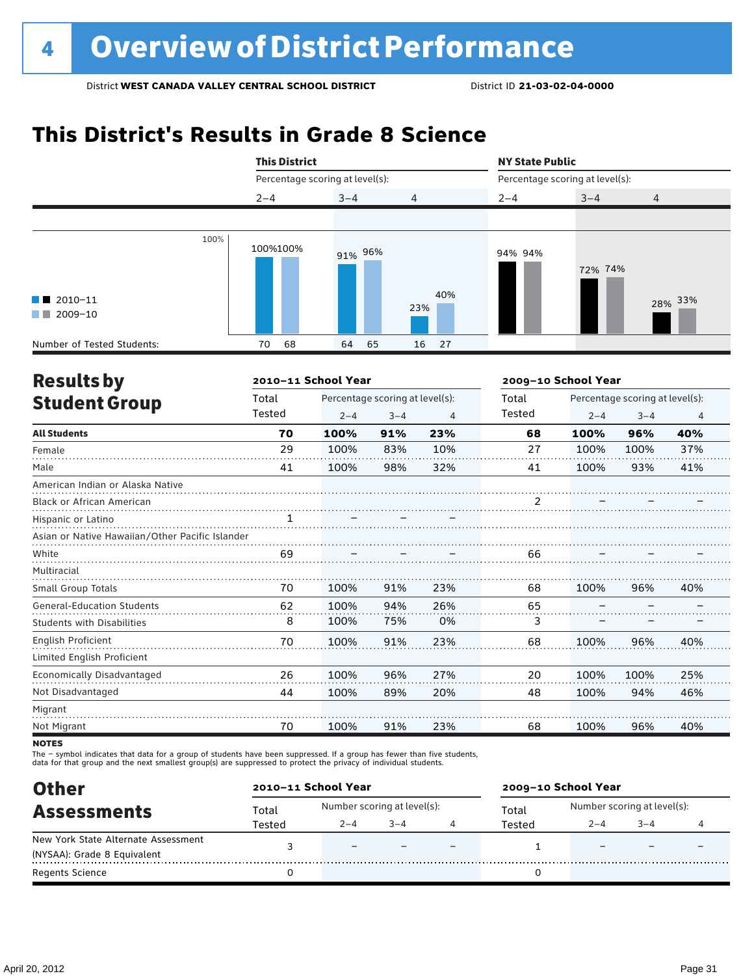# **This District's Results in Grade 8 Science**



| <b>Results by</b>                               | 2010-11 School Year |         |                                 |     | 2009-10 School Year |                                 |         |     |  |
|-------------------------------------------------|---------------------|---------|---------------------------------|-----|---------------------|---------------------------------|---------|-----|--|
| <b>Student Group</b>                            | Total               |         | Percentage scoring at level(s): |     |                     | Percentage scoring at level(s): |         |     |  |
|                                                 | Tested              | $2 - 4$ | $3 - 4$                         | 4   | Tested              | $2 - 4$                         | $3 - 4$ | 4   |  |
| <b>All Students</b>                             | 70                  | 100%    | 91%                             | 23% | 68                  | 100%                            | 96%     | 40% |  |
| Female                                          | 29                  | 100%    | 83%                             | 10% | 27                  | 100%                            | 100%    | 37% |  |
| Male                                            | 41                  | 100%    | 98%                             | 32% | 41                  | 100%                            | 93%     | 41% |  |
| American Indian or Alaska Native                |                     |         |                                 |     |                     |                                 |         |     |  |
| <b>Black or African American</b>                |                     |         |                                 |     | 2                   |                                 |         |     |  |
| Hispanic or Latino                              | 1<br>.              |         |                                 |     |                     |                                 |         |     |  |
| Asian or Native Hawaiian/Other Pacific Islander |                     |         |                                 |     |                     |                                 |         |     |  |
| White                                           | 69                  |         |                                 |     | 66                  |                                 |         |     |  |
| Multiracial                                     |                     |         |                                 |     |                     |                                 |         |     |  |
| <b>Small Group Totals</b>                       | 70                  | 100%    | 91%                             | 23% | 68                  | 100%                            | 96%     | 40% |  |
| <b>General-Education Students</b>               | 62                  | 100%    | 94%                             | 26% | 65                  |                                 |         |     |  |
| <b>Students with Disabilities</b>               | 8                   | 100%    | 75%                             | 0%  | 3                   |                                 |         |     |  |
| English Proficient                              | 70                  | 100%    | 91%                             | 23% | 68                  | 100%                            | 96%     | 40% |  |
| Limited English Proficient                      |                     |         |                                 |     |                     |                                 |         |     |  |
| Economically Disadvantaged                      | 26                  | 100%    | 96%                             | 27% | 20                  | 100%                            | 100%    | 25% |  |
| Not Disadvantaged                               | 44                  | 100%    | 89%                             | 20% | 48                  | 100%                            | 94%     | 46% |  |
| Migrant                                         |                     |         |                                 |     |                     |                                 |         |     |  |
| Not Migrant                                     | 70                  | 100%    | 91%                             | 23% | 68                  | 100%                            | 96%     | 40% |  |
|                                                 |                     |         |                                 |     |                     |                                 |         |     |  |

**NOTES** 

The – symbol indicates that data for a group of students have been suppressed. If a group has fewer than five students,

data for that group and the next smallest group(s) are suppressed to protect the privacy of individual students.

| <b>Other</b>                        | 2010-11 School Year |                             |         |  | 2009-10 School Year |                             |        |  |  |
|-------------------------------------|---------------------|-----------------------------|---------|--|---------------------|-----------------------------|--------|--|--|
| <b>Assessments</b>                  | Total               | Number scoring at level(s): |         |  | Total               | Number scoring at level(s): |        |  |  |
|                                     | Tested              | $2 - 4$                     | $3 - 4$ |  | Tested              | $2 - 4$                     | $-3-4$ |  |  |
| New York State Alternate Assessment |                     | $\overline{\phantom{0}}$    |         |  |                     |                             |        |  |  |
| (NYSAA): Grade 8 Equivalent         |                     |                             |         |  |                     |                             |        |  |  |
| <b>Regents Science</b>              |                     |                             |         |  |                     |                             |        |  |  |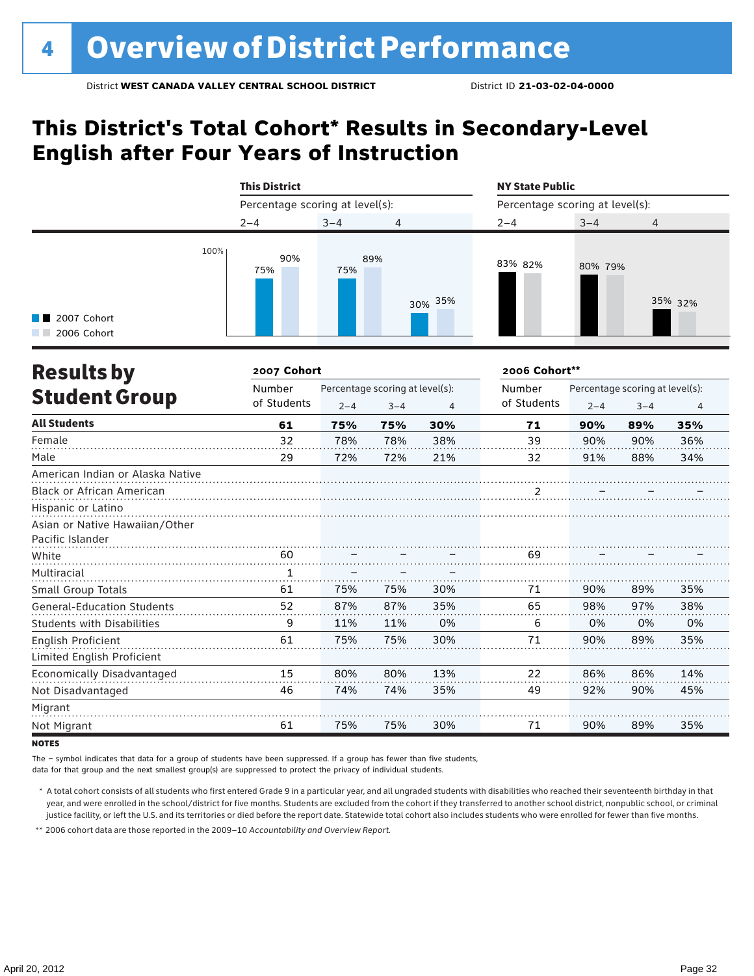### **This District's Total Cohort\* Results in Secondary-Level English after Four Years of Instruction**



| <b>Results by</b>                 | 2007 Cohort  |                                 | 2006 Cohort** |     |                   |                                 |         |                |  |
|-----------------------------------|--------------|---------------------------------|---------------|-----|-------------------|---------------------------------|---------|----------------|--|
|                                   | Number       | Percentage scoring at level(s): |               |     | Number            | Percentage scoring at level(s): |         |                |  |
| <b>Student Group</b>              | of Students  | $2 - 4$                         | $3 - 4$       | 4   | of Students       | $2 - 4$                         | $3 - 4$ | $\overline{4}$ |  |
| <b>All Students</b>               | 61           | 75%                             | 75%           | 30% | 71                | 90%                             | 89%     | 35%            |  |
| Female                            | 32           | 78%                             | 78%           | 38% | 39                | 90%                             | 90%     | 36%            |  |
| Male                              | 29           | 72%                             | 72%           | 21% | 32                | 91%                             | 88%     | 34%            |  |
| American Indian or Alaska Native  |              |                                 |               |     |                   |                                 |         |                |  |
| <b>Black or African American</b>  |              |                                 |               |     | $\frac{2}{\cdot}$ |                                 |         |                |  |
| Hispanic or Latino                |              |                                 |               |     |                   |                                 |         |                |  |
| Asian or Native Hawaiian/Other    |              |                                 |               |     |                   |                                 |         |                |  |
| Pacific Islander                  |              |                                 |               |     |                   |                                 |         |                |  |
| White                             | 60           |                                 |               |     | 69                |                                 |         |                |  |
| Multiracial                       | $\mathbf{1}$ |                                 |               |     |                   |                                 |         |                |  |
| Small Group Totals                | 61           | 75%                             | 75%           | 30% | 71                | 90%                             | 89%     | 35%            |  |
| <b>General-Education Students</b> | 52           | 87%                             | 87%           | 35% | 65                | 98%                             | 97%     | 38%            |  |
| <b>Students with Disabilities</b> | 9            | 11%                             | 11%           | 0%  | 6                 | 0%                              | 0%      | 0%             |  |
| English Proficient                | 61           | 75%                             | 75%           | 30% | 71                | 90%                             | 89%     | 35%            |  |
| Limited English Proficient        |              |                                 |               |     |                   |                                 |         |                |  |
| Economically Disadvantaged        | 15           | 80%                             | 80%           | 13% | 22                | 86%                             | 86%     | 14%            |  |
| Not Disadvantaged                 | 46           | 74%                             | 74%           | 35% | 49                | 92%                             | 90%     | 45%            |  |
| Migrant                           |              |                                 |               |     |                   |                                 |         |                |  |
| Not Migrant                       | 61           | 75%                             | 75%           | 30% | 71                | 90%                             | 89%     | 35%            |  |

**NOTES** 

The – symbol indicates that data for a group of students have been suppressed. If a group has fewer than five students,

data for that group and the next smallest group(s) are suppressed to protect the privacy of individual students.

\* A total cohort consists of all students who first entered Grade 9 in a particular year, and all ungraded students with disabilities who reached their seventeenth birthday in that year, and were enrolled in the school/district for five months. Students are excluded from the cohort if they transferred to another school district, nonpublic school, or criminal justice facility, or left the U.S. and its territories or died before the report date. Statewide total cohort also includes students who were enrolled for fewer than five months.

\*\* 2006 cohort data are those reported in the 2009–10 *Accountability and Overview Report*.